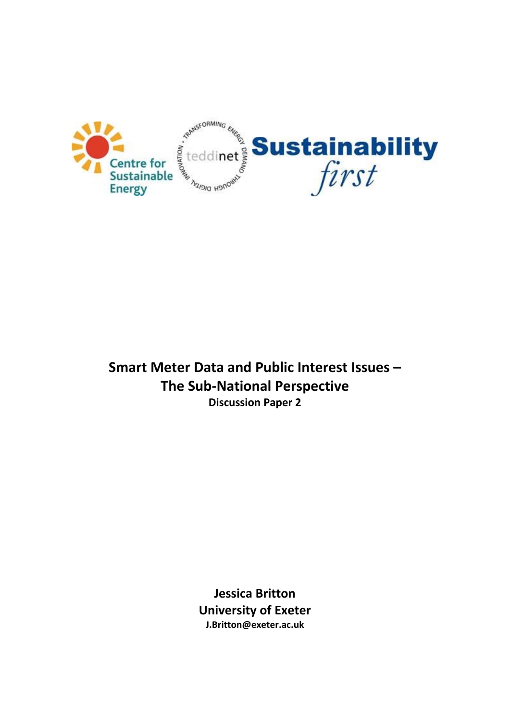

**Smart Meter Data and Public Interest Issues – The Sub-National Perspective Discussion Paper 2**

> **Jessica Britton University of Exeter J.Britton@exeter.ac.uk**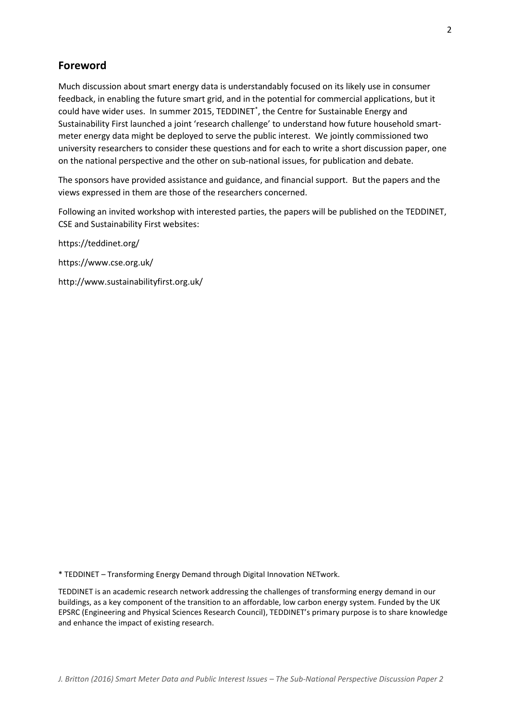## **Foreword**

Much discussion about smart energy data is understandably focused on its likely use in consumer feedback, in enabling the future smart grid, and in the potential for commercial applications, but it could have wider uses. In summer 2015, TEDDINET\* , the Centre for Sustainable Energy and Sustainability First launched a joint 'research challenge' to understand how future household smartmeter energy data might be deployed to serve the public interest. We jointly commissioned two university researchers to consider these questions and for each to write a short discussion paper, one on the national perspective and the other on sub-national issues, for publication and debate.

The sponsors have provided assistance and guidance, and financial support. But the papers and the views expressed in them are those of the researchers concerned.

Following an invited workshop with interested parties, the papers will be published on the TEDDINET, CSE and Sustainability First websites:

<https://teddinet.org/> <https://www.cse.org.uk/> http://www.sustainabilityfirst.org.uk/

\* TEDDINET – Transforming Energy Demand through Digital Innovation NETwork.

TEDDINET is an academic research network addressing the challenges of transforming energy demand in our buildings, as a key component of the transition to an affordable, low carbon energy system. Funded by the UK EPSRC (Engineering and Physical Sciences Research Council), TEDDINET's primary purpose is to share knowledge and enhance the impact of existing research.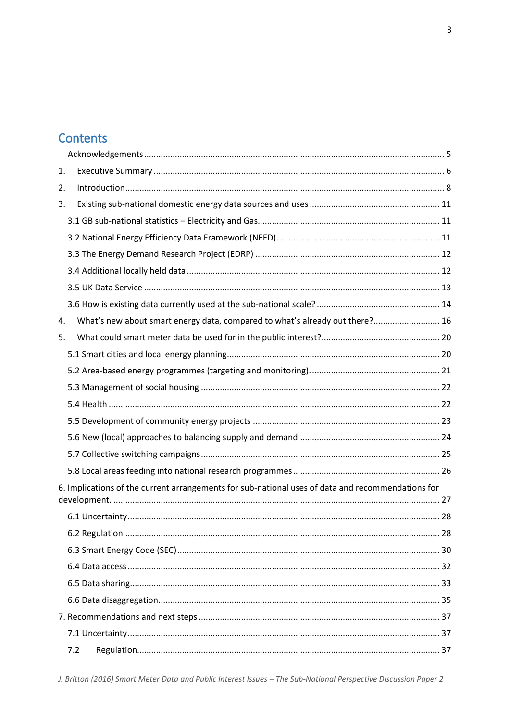# **Contents**

| 1.                                                                                                |                                                                              |  |  |
|---------------------------------------------------------------------------------------------------|------------------------------------------------------------------------------|--|--|
| 2.                                                                                                |                                                                              |  |  |
| 3.                                                                                                |                                                                              |  |  |
|                                                                                                   |                                                                              |  |  |
|                                                                                                   |                                                                              |  |  |
|                                                                                                   |                                                                              |  |  |
|                                                                                                   |                                                                              |  |  |
|                                                                                                   |                                                                              |  |  |
|                                                                                                   |                                                                              |  |  |
| 4.                                                                                                | What's new about smart energy data, compared to what's already out there? 16 |  |  |
| 5.                                                                                                |                                                                              |  |  |
|                                                                                                   |                                                                              |  |  |
|                                                                                                   |                                                                              |  |  |
|                                                                                                   |                                                                              |  |  |
|                                                                                                   |                                                                              |  |  |
|                                                                                                   |                                                                              |  |  |
|                                                                                                   |                                                                              |  |  |
|                                                                                                   |                                                                              |  |  |
|                                                                                                   |                                                                              |  |  |
| 6. Implications of the current arrangements for sub-national uses of data and recommendations for |                                                                              |  |  |
|                                                                                                   |                                                                              |  |  |
|                                                                                                   |                                                                              |  |  |
|                                                                                                   |                                                                              |  |  |
|                                                                                                   |                                                                              |  |  |
|                                                                                                   |                                                                              |  |  |
|                                                                                                   |                                                                              |  |  |
|                                                                                                   |                                                                              |  |  |
|                                                                                                   |                                                                              |  |  |
|                                                                                                   | 7.2                                                                          |  |  |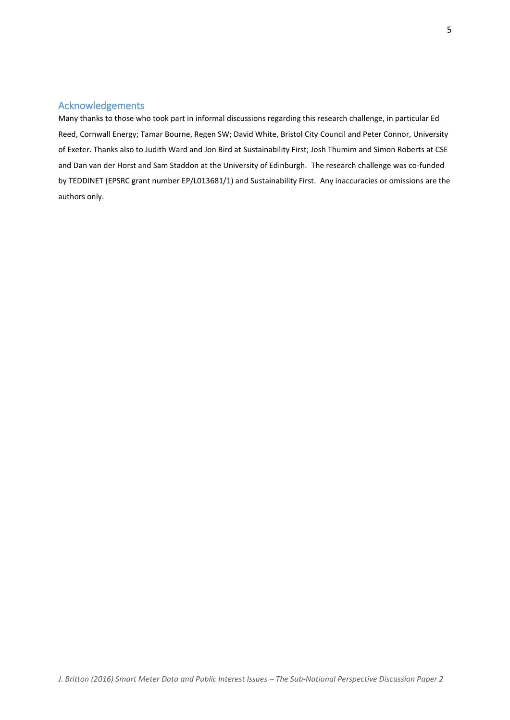## <span id="page-4-0"></span>Acknowledgements

Many thanks to those who took part in informal discussions regarding this research challenge, in particular Ed Reed, Cornwall Energy; Tamar Bourne, Regen SW; David White, Bristol City Council and Peter Connor, University of Exeter. Thanks also to Judith Ward and Jon Bird at Sustainability First; Josh Thumim and Simon Roberts at CSE and Dan van der Horst and Sam Staddon at the University of Edinburgh. The research challenge was co-funded by TEDDINET (EPSRC grant number EP/L013681/1) and Sustainability First. Any inaccuracies or omissions are the authors only.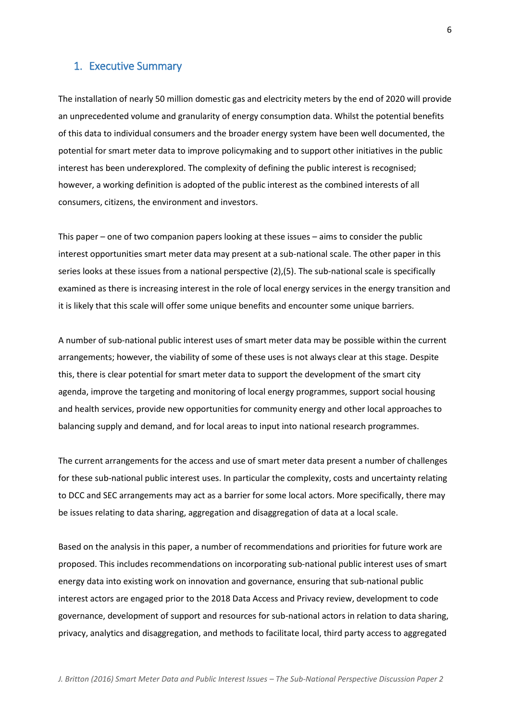### <span id="page-5-0"></span>1. Executive Summary

The installation of nearly 50 million domestic gas and electricity meters by the end of 2020 will provide an unprecedented volume and granularity of energy consumption data. Whilst the potential benefits of this data to individual consumers and the broader energy system have been well documented, the potential for smart meter data to improve policymaking and to support other initiatives in the public interest has been underexplored. The complexity of defining the public interest is recognised; however, a working definition is adopted of the public interest as the combined interests of all consumers, citizens, the environment and investors.

This paper – one of two companion papers looking at these issues – aims to consider the public interest opportunities smart meter data may present at a sub-national scale. The other paper in this series looks at these issues from a national perspective (2),(5). The sub-national scale is specifically examined as there is increasing interest in the role of local energy services in the energy transition and it is likely that this scale will offer some unique benefits and encounter some unique barriers.

A number of sub-national public interest uses of smart meter data may be possible within the current arrangements; however, the viability of some of these uses is not always clear at this stage. Despite this, there is clear potential for smart meter data to support the development of the smart city agenda, improve the targeting and monitoring of local energy programmes, support social housing and health services, provide new opportunities for community energy and other local approaches to balancing supply and demand, and for local areas to input into national research programmes.

The current arrangements for the access and use of smart meter data present a number of challenges for these sub-national public interest uses. In particular the complexity, costs and uncertainty relating to DCC and SEC arrangements may act as a barrier for some local actors. More specifically, there may be issues relating to data sharing, aggregation and disaggregation of data at a local scale.

Based on the analysis in this paper, a number of recommendations and priorities for future work are proposed. This includes recommendations on incorporating sub-national public interest uses of smart energy data into existing work on innovation and governance, ensuring that sub-national public interest actors are engaged prior to the 2018 Data Access and Privacy review, development to code governance, development of support and resources for sub-national actors in relation to data sharing, privacy, analytics and disaggregation, and methods to facilitate local, third party access to aggregated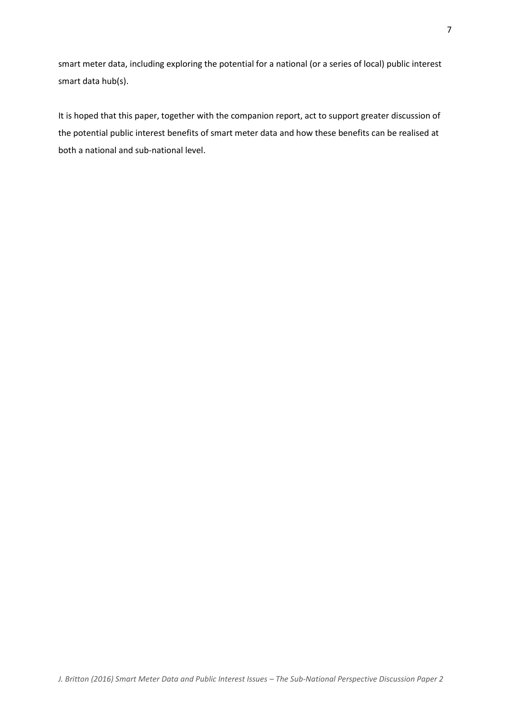smart meter data, including exploring the potential for a national (or a series of local) public interest smart data hub(s).

It is hoped that this paper, together with the companion report, act to support greater discussion of the potential public interest benefits of smart meter data and how these benefits can be realised at both a national and sub-national level.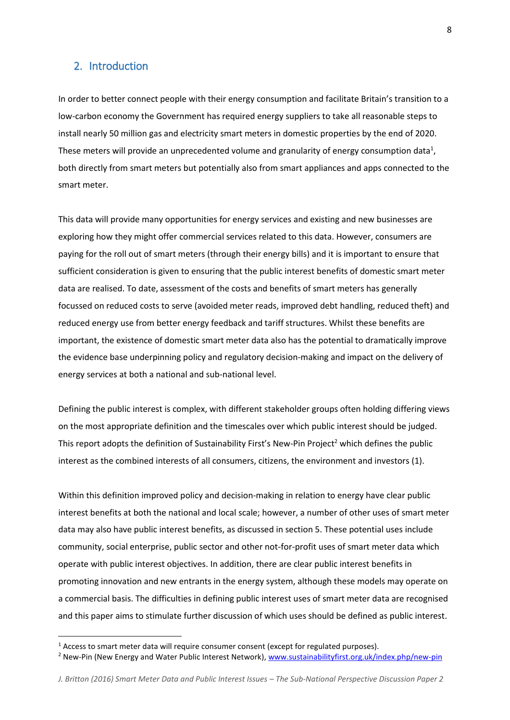### <span id="page-7-0"></span>2. Introduction

In order to better connect people with their energy consumption and facilitate Britain's transition to a low-carbon economy the Government has required energy suppliers to take all reasonable steps to install nearly 50 million gas and electricity smart meters in domestic properties by the end of 2020. These meters will provide an unprecedented volume and granularity of energy consumption data<sup>1</sup>, both directly from smart meters but potentially also from smart appliances and apps connected to the smart meter.

This data will provide many opportunities for energy services and existing and new businesses are exploring how they might offer commercial services related to this data. However, consumers are paying for the roll out of smart meters (through their energy bills) and it is important to ensure that sufficient consideration is given to ensuring that the public interest benefits of domestic smart meter data are realised. To date, assessment of the costs and benefits of smart meters has generally focussed on reduced costs to serve (avoided meter reads, improved debt handling, reduced theft) and reduced energy use from better energy feedback and tariff structures. Whilst these benefits are important, the existence of domestic smart meter data also has the potential to dramatically improve the evidence base underpinning policy and regulatory decision-making and impact on the delivery of energy services at both a national and sub-national level.

Defining the public interest is complex, with different stakeholder groups often holding differing views on the most appropriate definition and the timescales over which public interest should be judged. This report adopts the definition of Sustainability First's New-Pin Project<sup>2</sup> which defines the public interest as the combined interests of all consumers, citizens, the environment and investors (1).

Within this definition improved policy and decision-making in relation to energy have clear public interest benefits at both the national and local scale; however, a number of other uses of smart meter data may also have public interest benefits, as discussed in section 5. These potential uses include community, social enterprise, public sector and other not-for-profit uses of smart meter data which operate with public interest objectives. In addition, there are clear public interest benefits in promoting innovation and new entrants in the energy system, although these models may operate on a commercial basis. The difficulties in defining public interest uses of smart meter data are recognised and this paper aims to stimulate further discussion of which uses should be defined as public interest.

 $\overline{\phantom{a}}$ 

 $1$  Access to smart meter data will require consumer consent (except for regulated purposes).

<sup>&</sup>lt;sup>2</sup> New-Pin (New Energy and Water Public Interest Network), [www.sustainabilityfirst.org.uk/index.php/new-pin](http://www.sustainabilityfirst.org.uk/index.php/new-pin)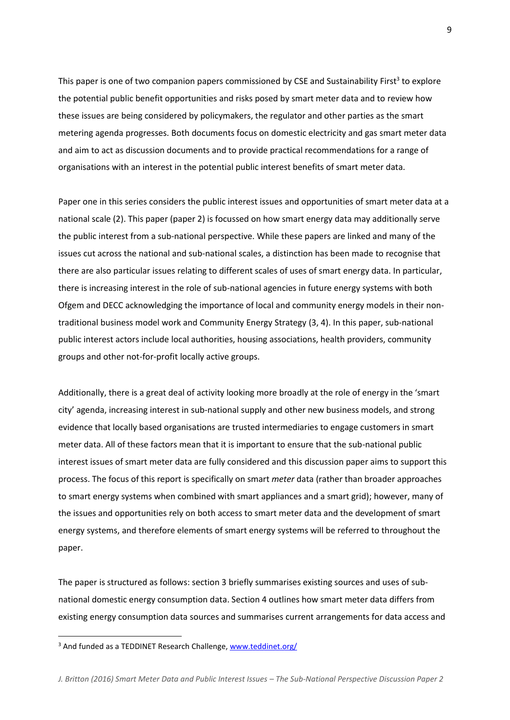This paper is one of two companion papers commissioned by CSE and Sustainability First<sup>3</sup> to explore the potential public benefit opportunities and risks posed by smart meter data and to review how these issues are being considered by policymakers, the regulator and other parties as the smart metering agenda progresses. Both documents focus on domestic electricity and gas smart meter data and aim to act as discussion documents and to provide practical recommendations for a range of organisations with an interest in the potential public interest benefits of smart meter data.

Paper one in this series considers the public interest issues and opportunities of smart meter data at a national scale (2). This paper (paper 2) is focussed on how smart energy data may additionally serve the public interest from a sub-national perspective. While these papers are linked and many of the issues cut across the national and sub-national scales, a distinction has been made to recognise that there are also particular issues relating to different scales of uses of smart energy data. In particular, there is increasing interest in the role of sub-national agencies in future energy systems with both Ofgem and DECC acknowledging the importance of local and community energy models in their nontraditional business model work and Community Energy Strategy (3, 4). In this paper, sub-national public interest actors include local authorities, housing associations, health providers, community groups and other not-for-profit locally active groups.

Additionally, there is a great deal of activity looking more broadly at the role of energy in the 'smart city' agenda, increasing interest in sub-national supply and other new business models, and strong evidence that locally based organisations are trusted intermediaries to engage customers in smart meter data. All of these factors mean that it is important to ensure that the sub-national public interest issues of smart meter data are fully considered and this discussion paper aims to support this process. The focus of this report is specifically on smart *meter* data (rather than broader approaches to smart energy systems when combined with smart appliances and a smart grid); however, many of the issues and opportunities rely on both access to smart meter data and the development of smart energy systems, and therefore elements of smart energy systems will be referred to throughout the paper.

The paper is structured as follows: section 3 briefly summarises existing sources and uses of subnational domestic energy consumption data. Section 4 outlines how smart meter data differs from existing energy consumption data sources and summarises current arrangements for data access and

 $\overline{\phantom{a}}$ 

<sup>&</sup>lt;sup>3</sup> And funded as a TEDDINET Research Challenge[, www.teddinet.org/](http://www.teddinet.org/)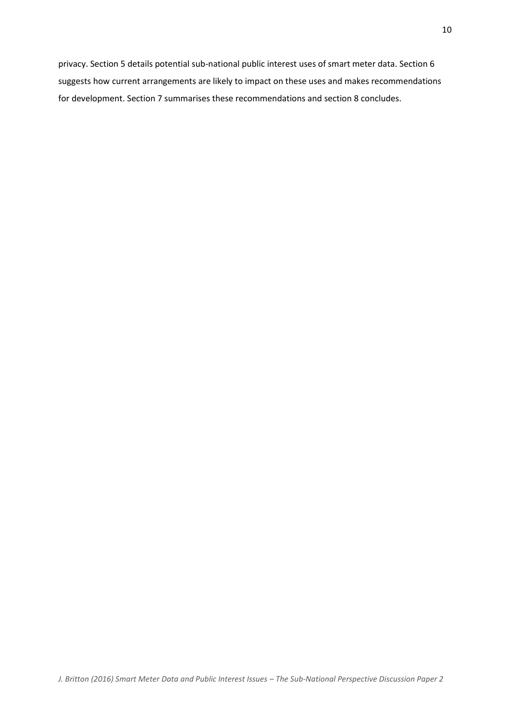privacy. Section 5 details potential sub-national public interest uses of smart meter data. Section 6 suggests how current arrangements are likely to impact on these uses and makes recommendations for development. Section 7 summarises these recommendations and section 8 concludes.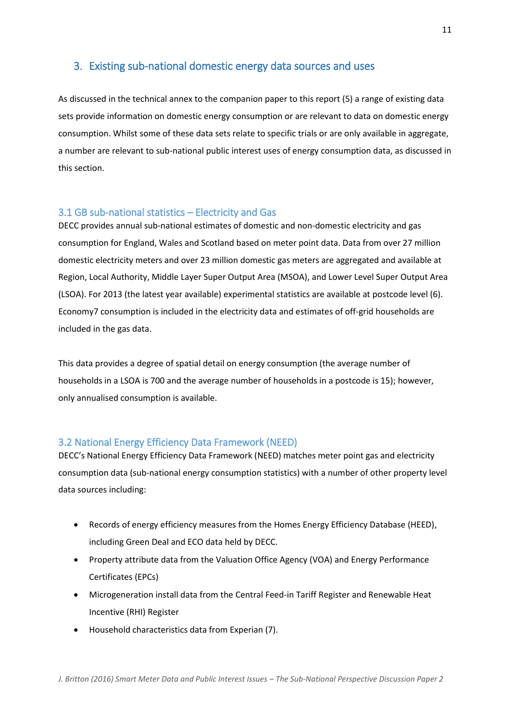## <span id="page-10-0"></span>3. Existing sub-national domestic energy data sources and uses

As discussed in the technical annex to the companion paper to this report (5) a range of existing data sets provide information on domestic energy consumption or are relevant to data on domestic energy consumption. Whilst some of these data sets relate to specific trials or are only available in aggregate, a number are relevant to sub-national public interest uses of energy consumption data, as discussed in this section.

### <span id="page-10-1"></span>3.1 GB sub-national statistics – Electricity and Gas

DECC provides annual sub-national estimates of domestic and non-domestic electricity and gas consumption for England, Wales and Scotland based on meter point data. Data from over 27 million domestic electricity meters and over 23 million domestic gas meters are aggregated and available at Region, Local Authority, Middle Layer Super Output Area (MSOA), and Lower Level Super Output Area (LSOA). For 2013 (the latest year available) experimental statistics are available at postcode level (6). Economy7 consumption is included in the electricity data and estimates of off-grid households are included in the gas data.

This data provides a degree of spatial detail on energy consumption (the average number of households in a LSOA is 700 and the average number of households in a postcode is 15); however, only annualised consumption is available.

## <span id="page-10-2"></span>3.2 National Energy Efficiency Data Framework (NEED)

DECC's National Energy Efficiency Data Framework (NEED) matches meter point gas and electricity consumption data (sub-national energy consumption statistics) with a number of other property level data sources including:

- Records of energy efficiency measures from the Homes Energy Efficiency Database (HEED), including Green Deal and ECO data held by DECC.
- Property attribute data from the Valuation Office Agency (VOA) and Energy Performance Certificates (EPCs)
- Microgeneration install data from the Central Feed-in Tariff Register and Renewable Heat Incentive (RHI) Register
- Household characteristics data from Experian (7).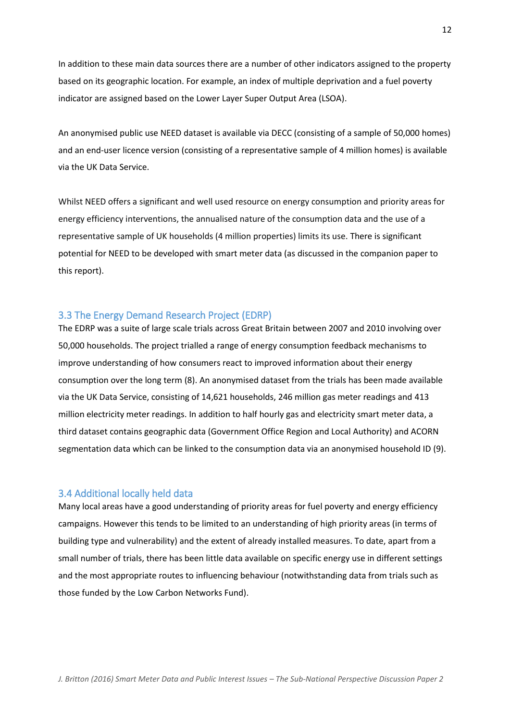In addition to these main data sources there are a number of other indicators assigned to the property based on its geographic location. For example, an index of multiple deprivation and a fuel poverty indicator are assigned based on the Lower Layer Super Output Area (LSOA).

An anonymised public use NEED dataset is available via DECC (consisting of a sample of 50,000 homes) and an end-user licence version (consisting of a representative sample of 4 million homes) is available via the UK Data Service.

Whilst NEED offers a significant and well used resource on energy consumption and priority areas for energy efficiency interventions, the annualised nature of the consumption data and the use of a representative sample of UK households (4 million properties) limits its use. There is significant potential for NEED to be developed with smart meter data (as discussed in the companion paper to this report).

### <span id="page-11-0"></span>3.3 The Energy Demand Research Project (EDRP)

The EDRP was a suite of large scale trials across Great Britain between 2007 and 2010 involving over 50,000 households. The project trialled a range of energy consumption feedback mechanisms to improve understanding of how consumers react to improved information about their energy consumption over the long term (8). An anonymised dataset from the trials has been made available via the UK Data Service, consisting of 14,621 households, 246 million gas meter readings and 413 million electricity meter readings. In addition to half hourly gas and electricity smart meter data, a third dataset contains geographic data (Government Office Region and Local Authority) and ACORN segmentation data which can be linked to the consumption data via an anonymised household ID (9).

#### <span id="page-11-1"></span>3.4 Additional locally held data

Many local areas have a good understanding of priority areas for fuel poverty and energy efficiency campaigns. However this tends to be limited to an understanding of high priority areas (in terms of building type and vulnerability) and the extent of already installed measures. To date, apart from a small number of trials, there has been little data available on specific energy use in different settings and the most appropriate routes to influencing behaviour (notwithstanding data from trials such as those funded by the Low Carbon Networks Fund).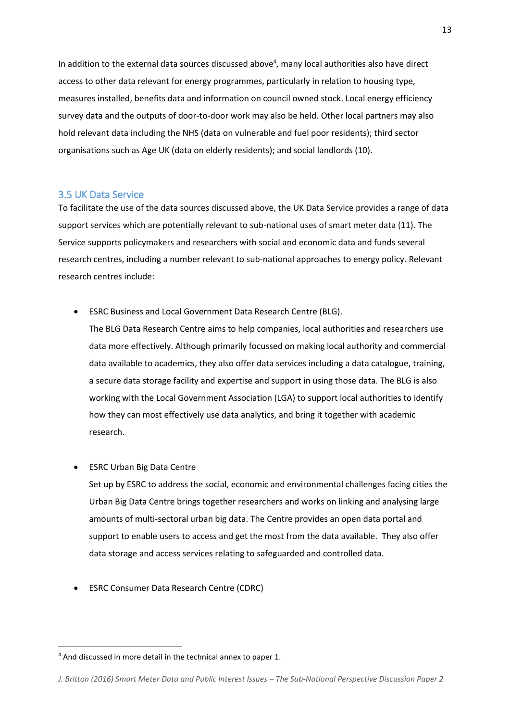In addition to the external data sources discussed above<sup>4</sup>, many local authorities also have direct access to other data relevant for energy programmes, particularly in relation to housing type, measures installed, benefits data and information on council owned stock. Local energy efficiency survey data and the outputs of door-to-door work may also be held. Other local partners may also hold relevant data including the NHS (data on vulnerable and fuel poor residents); third sector organisations such as Age UK (data on elderly residents); and social landlords (10).

### <span id="page-12-0"></span>3.5 UK Data Service

To facilitate the use of the data sources discussed above, the UK Data Service provides a range of data support services which are potentially relevant to sub-national uses of smart meter data (11). The Service supports policymakers and researchers with social and economic data and funds several research centres, including a number relevant to sub-national approaches to energy policy. Relevant research centres include:

ESRC Business and Local Government Data Research Centre (BLG).

The BLG Data Research Centre aims to help companies, local authorities and researchers use data more effectively. Although primarily focussed on making local authority and commercial data available to academics, they also offer data services including a data catalogue, training, a secure data storage facility and expertise and support in using those data. The BLG is also working with the Local Government Association (LGA) to support local authorities to identify how they can most effectively use data analytics, and bring it together with academic research.

ESRC Urban Big Data Centre

 $\overline{a}$ 

Set up by ESRC to address the social, economic and environmental challenges facing cities the Urban Big Data Centre brings together researchers and works on linking and analysing large amounts of multi-sectoral urban big data. The Centre provides an open data portal and support to enable users to access and get the most from the data available. They also offer data storage and access services relating to safeguarded and controlled data.

ESRC Consumer Data Research Centre (CDRC)

<sup>4</sup> And discussed in more detail in the technical annex to paper 1.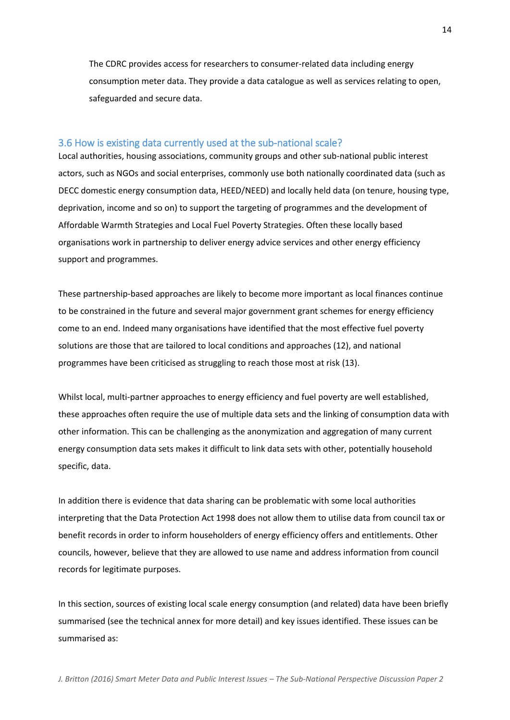The CDRC provides access for researchers to consumer-related data including energy consumption meter data. They provide a data catalogue as well as services relating to open, safeguarded and secure data.

#### <span id="page-13-0"></span>3.6 How is existing data currently used at the sub-national scale?

Local authorities, housing associations, community groups and other sub-national public interest actors, such as NGOs and social enterprises, commonly use both nationally coordinated data (such as DECC domestic energy consumption data, HEED/NEED) and locally held data (on tenure, housing type, deprivation, income and so on) to support the targeting of programmes and the development of Affordable Warmth Strategies and Local Fuel Poverty Strategies. Often these locally based organisations work in partnership to deliver energy advice services and other energy efficiency support and programmes.

These partnership-based approaches are likely to become more important as local finances continue to be constrained in the future and several major government grant schemes for energy efficiency come to an end. Indeed many organisations have identified that the most effective fuel poverty solutions are those that are tailored to local conditions and approaches (12), and national programmes have been criticised as struggling to reach those most at risk (13).

Whilst local, multi-partner approaches to energy efficiency and fuel poverty are well established, these approaches often require the use of multiple data sets and the linking of consumption data with other information. This can be challenging as the anonymization and aggregation of many current energy consumption data sets makes it difficult to link data sets with other, potentially household specific, data.

In addition there is evidence that data sharing can be problematic with some local authorities interpreting that the Data Protection Act 1998 does not allow them to utilise data from council tax or benefit records in order to inform householders of energy efficiency offers and entitlements. Other councils, however, believe that they are allowed to use name and address information from council records for legitimate purposes.

In this section, sources of existing local scale energy consumption (and related) data have been briefly summarised (see the technical annex for more detail) and key issues identified. These issues can be summarised as: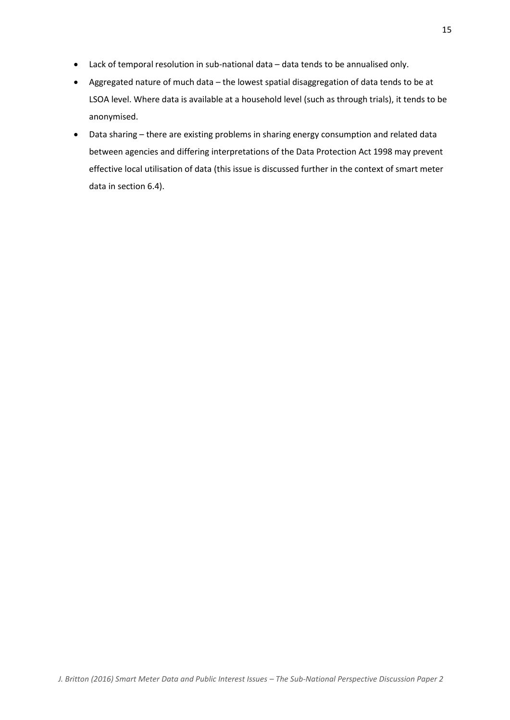- Lack of temporal resolution in sub-national data data tends to be annualised only.
- Aggregated nature of much data the lowest spatial disaggregation of data tends to be at LSOA level. Where data is available at a household level (such as through trials), it tends to be anonymised.
- Data sharing there are existing problems in sharing energy consumption and related data between agencies and differing interpretations of the Data Protection Act 1998 may prevent effective local utilisation of data (this issue is discussed further in the context of smart meter data in section 6.4).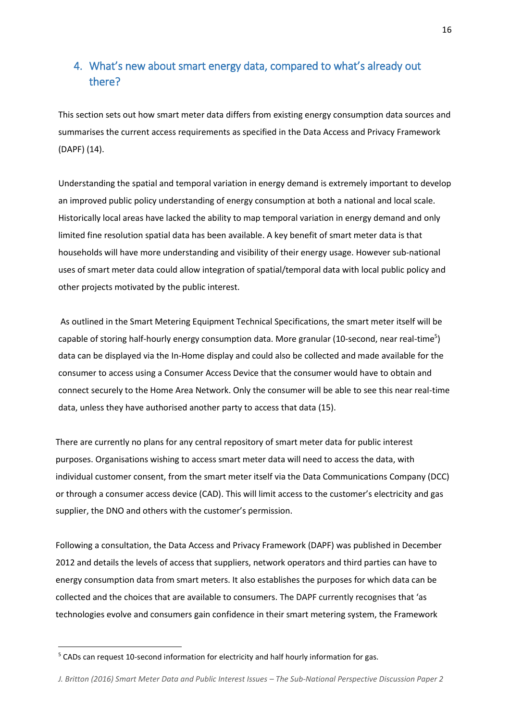# <span id="page-15-0"></span>4. What's new about smart energy data, compared to what's already out there?

This section sets out how smart meter data differs from existing energy consumption data sources and summarises the current access requirements as specified in the Data Access and Privacy Framework (DAPF) (14).

Understanding the spatial and temporal variation in energy demand is extremely important to develop an improved public policy understanding of energy consumption at both a national and local scale. Historically local areas have lacked the ability to map temporal variation in energy demand and only limited fine resolution spatial data has been available. A key benefit of smart meter data is that households will have more understanding and visibility of their energy usage. However sub-national uses of smart meter data could allow integration of spatial/temporal data with local public policy and other projects motivated by the public interest.

As outlined in the Smart Metering Equipment Technical Specifications, the smart meter itself will be capable of storing half-hourly energy consumption data. More granular (10-second, near real-time<sup>5</sup>) data can be displayed via the In-Home display and could also be collected and made available for the consumer to access using a Consumer Access Device that the consumer would have to obtain and connect securely to the Home Area Network. Only the consumer will be able to see this near real-time data, unless they have authorised another party to access that data (15).

There are currently no plans for any central repository of smart meter data for public interest purposes. Organisations wishing to access smart meter data will need to access the data, with individual customer consent, from the smart meter itself via the Data Communications Company (DCC) or through a consumer access device (CAD). This will limit access to the customer's electricity and gas supplier, the DNO and others with the customer's permission.

Following a consultation, the Data Access and Privacy Framework (DAPF) was published in December 2012 and details the levels of access that suppliers, network operators and third parties can have to energy consumption data from smart meters. It also establishes the purposes for which data can be collected and the choices that are available to consumers. The DAPF currently recognises that 'as technologies evolve and consumers gain confidence in their smart metering system, the Framework

 $\overline{a}$ 

<sup>&</sup>lt;sup>5</sup> CADs can request 10-second information for electricity and half hourly information for gas.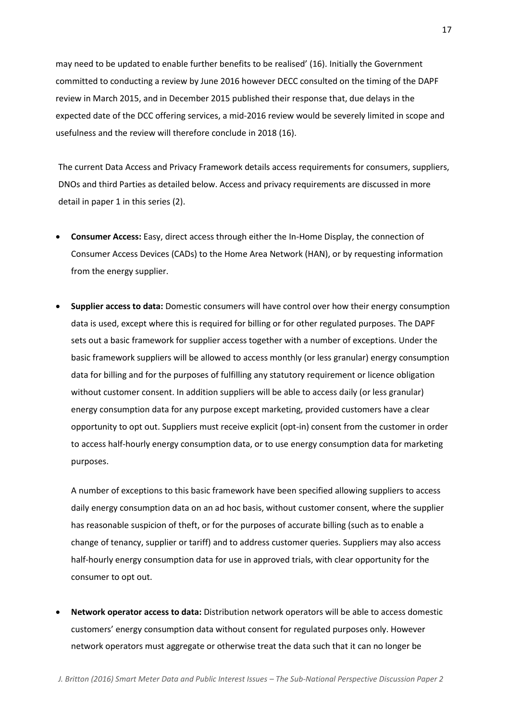may need to be updated to enable further benefits to be realised' (16). Initially the Government committed to conducting a review by June 2016 however DECC consulted on the timing of the DAPF review in March 2015, and in December 2015 published their response that, due delays in the expected date of the DCC offering services, a mid-2016 review would be severely limited in scope and usefulness and the review will therefore conclude in 2018 (16).

The current Data Access and Privacy Framework details access requirements for consumers, suppliers, DNOs and third Parties as detailed below. Access and privacy requirements are discussed in more detail in paper 1 in this series (2).

- **Consumer Access:** Easy, direct access through either the In-Home Display, the connection of Consumer Access Devices (CADs) to the Home Area Network (HAN), or by requesting information from the energy supplier.
- **Supplier access to data:** Domestic consumers will have control over how their energy consumption data is used, except where this is required for billing or for other regulated purposes. The DAPF sets out a basic framework for supplier access together with a number of exceptions. Under the basic framework suppliers will be allowed to access monthly (or less granular) energy consumption data for billing and for the purposes of fulfilling any statutory requirement or licence obligation without customer consent. In addition suppliers will be able to access daily (or less granular) energy consumption data for any purpose except marketing, provided customers have a clear opportunity to opt out. Suppliers must receive explicit (opt-in) consent from the customer in order to access half-hourly energy consumption data, or to use energy consumption data for marketing purposes.

A number of exceptions to this basic framework have been specified allowing suppliers to access daily energy consumption data on an ad hoc basis, without customer consent, where the supplier has reasonable suspicion of theft, or for the purposes of accurate billing (such as to enable a change of tenancy, supplier or tariff) and to address customer queries. Suppliers may also access half-hourly energy consumption data for use in approved trials, with clear opportunity for the consumer to opt out.

 **Network operator access to data:** Distribution network operators will be able to access domestic customers' energy consumption data without consent for regulated purposes only. However network operators must aggregate or otherwise treat the data such that it can no longer be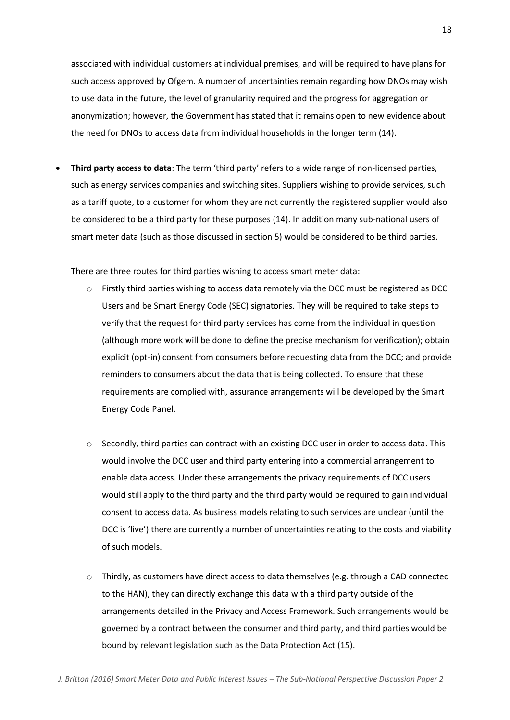associated with individual customers at individual premises, and will be required to have plans for such access approved by Ofgem. A number of uncertainties remain regarding how DNOs may wish to use data in the future, the level of granularity required and the progress for aggregation or anonymization; however, the Government has stated that it remains open to new evidence about the need for DNOs to access data from individual households in the longer term (14).

 **Third party access to data**: The term 'third party' refers to a wide range of non-licensed parties, such as energy services companies and switching sites. Suppliers wishing to provide services, such as a tariff quote, to a customer for whom they are not currently the registered supplier would also be considered to be a third party for these purposes (14). In addition many sub-national users of smart meter data (such as those discussed in section 5) would be considered to be third parties.

There are three routes for third parties wishing to access smart meter data:

- o Firstly third parties wishing to access data remotely via the DCC must be registered as DCC Users and be Smart Energy Code (SEC) signatories. They will be required to take steps to verify that the request for third party services has come from the individual in question (although more work will be done to define the precise mechanism for verification); obtain explicit (opt-in) consent from consumers before requesting data from the DCC; and provide reminders to consumers about the data that is being collected. To ensure that these requirements are complied with, assurance arrangements will be developed by the Smart Energy Code Panel.
- o Secondly, third parties can contract with an existing DCC user in order to access data. This would involve the DCC user and third party entering into a commercial arrangement to enable data access. Under these arrangements the privacy requirements of DCC users would still apply to the third party and the third party would be required to gain individual consent to access data. As business models relating to such services are unclear (until the DCC is 'live') there are currently a number of uncertainties relating to the costs and viability of such models.
- $\circ$  Thirdly, as customers have direct access to data themselves (e.g. through a CAD connected to the HAN), they can directly exchange this data with a third party outside of the arrangements detailed in the Privacy and Access Framework. Such arrangements would be governed by a contract between the consumer and third party, and third parties would be bound by relevant legislation such as the Data Protection Act (15).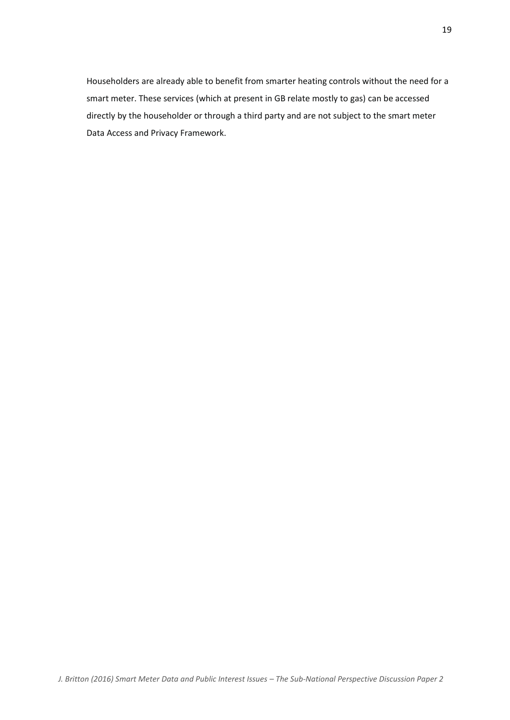Householders are already able to benefit from smarter heating controls without the need for a smart meter. These services (which at present in GB relate mostly to gas) can be accessed directly by the householder or through a third party and are not subject to the smart meter Data Access and Privacy Framework.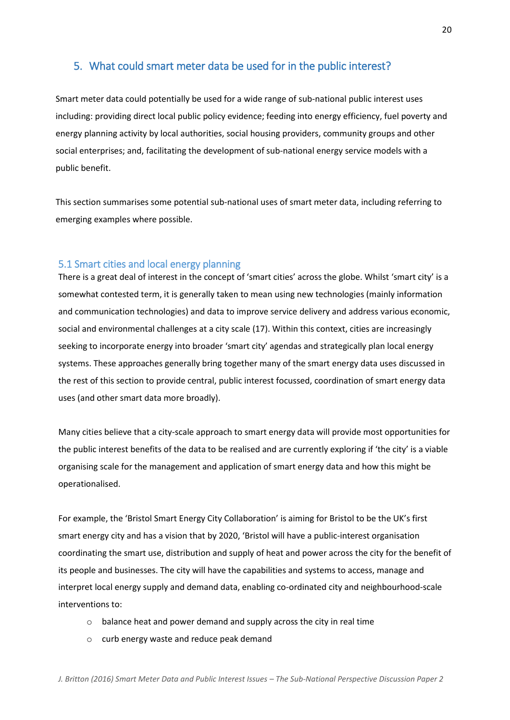## <span id="page-19-0"></span>5. What could smart meter data be used for in the public interest?

Smart meter data could potentially be used for a wide range of sub-national public interest uses including: providing direct local public policy evidence; feeding into energy efficiency, fuel poverty and energy planning activity by local authorities, social housing providers, community groups and other social enterprises; and, facilitating the development of sub-national energy service models with a public benefit.

This section summarises some potential sub-national uses of smart meter data, including referring to emerging examples where possible.

#### <span id="page-19-1"></span>5.1 Smart cities and local energy planning

There is a great deal of interest in the concept of 'smart cities' across the globe. Whilst 'smart city' is a somewhat contested term, it is generally taken to mean using new technologies (mainly information and communication technologies) and data to improve service delivery and address various economic, social and environmental challenges at a city scale (17). Within this context, cities are increasingly seeking to incorporate energy into broader 'smart city' agendas and strategically plan local energy systems. These approaches generally bring together many of the smart energy data uses discussed in the rest of this section to provide central, public interest focussed, coordination of smart energy data uses (and other smart data more broadly).

Many cities believe that a city-scale approach to smart energy data will provide most opportunities for the public interest benefits of the data to be realised and are currently exploring if 'the city' is a viable organising scale for the management and application of smart energy data and how this might be operationalised.

For example, the 'Bristol Smart Energy City Collaboration' is aiming for Bristol to be the UK's first smart energy city and has a vision that by 2020, 'Bristol will have a public-interest organisation coordinating the smart use, distribution and supply of heat and power across the city for the benefit of its people and businesses. The city will have the capabilities and systems to access, manage and interpret local energy supply and demand data, enabling co-ordinated city and neighbourhood-scale interventions to:

- o balance heat and power demand and supply across the city in real time
- o curb energy waste and reduce peak demand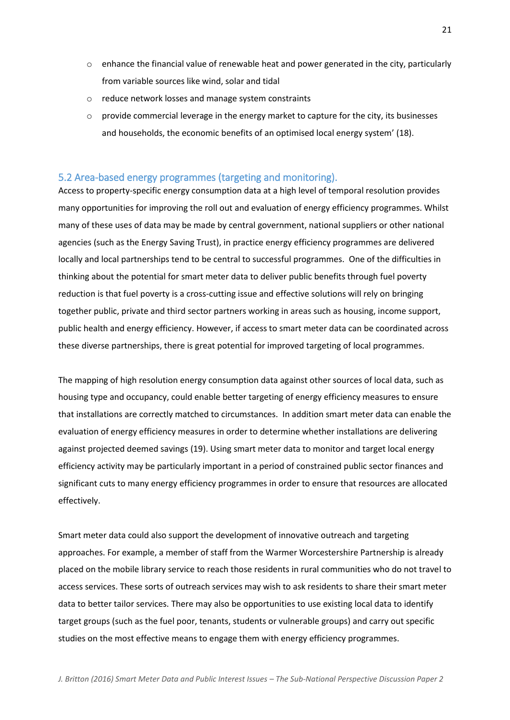- $\circ$  enhance the financial value of renewable heat and power generated in the city, particularly from variable sources like wind, solar and tidal
- o reduce network losses and manage system constraints
- $\circ$  provide commercial leverage in the energy market to capture for the city, its businesses and households, the economic benefits of an optimised local energy system' (18).

#### <span id="page-20-0"></span>5.2 Area-based energy programmes (targeting and monitoring).

Access to property-specific energy consumption data at a high level of temporal resolution provides many opportunities for improving the roll out and evaluation of energy efficiency programmes. Whilst many of these uses of data may be made by central government, national suppliers or other national agencies (such as the Energy Saving Trust), in practice energy efficiency programmes are delivered locally and local partnerships tend to be central to successful programmes. One of the difficulties in thinking about the potential for smart meter data to deliver public benefits through fuel poverty reduction is that fuel poverty is a cross-cutting issue and effective solutions will rely on bringing together public, private and third sector partners working in areas such as housing, income support, public health and energy efficiency. However, if access to smart meter data can be coordinated across these diverse partnerships, there is great potential for improved targeting of local programmes.

The mapping of high resolution energy consumption data against other sources of local data, such as housing type and occupancy, could enable better targeting of energy efficiency measures to ensure that installations are correctly matched to circumstances. In addition smart meter data can enable the evaluation of energy efficiency measures in order to determine whether installations are delivering against projected deemed savings (19). Using smart meter data to monitor and target local energy efficiency activity may be particularly important in a period of constrained public sector finances and significant cuts to many energy efficiency programmes in order to ensure that resources are allocated effectively.

Smart meter data could also support the development of innovative outreach and targeting approaches. For example, a member of staff from the Warmer Worcestershire Partnership is already placed on the mobile library service to reach those residents in rural communities who do not travel to access services. These sorts of outreach services may wish to ask residents to share their smart meter data to better tailor services. There may also be opportunities to use existing local data to identify target groups (such as the fuel poor, tenants, students or vulnerable groups) and carry out specific studies on the most effective means to engage them with energy efficiency programmes.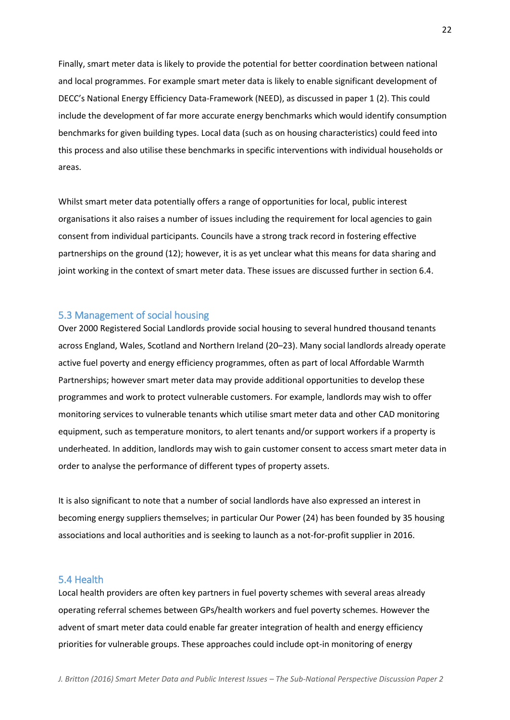Finally, smart meter data is likely to provide the potential for better coordination between national and local programmes. For example smart meter data is likely to enable significant development of DECC's National Energy Efficiency Data-Framework (NEED), as discussed in paper 1 (2). This could include the development of far more accurate energy benchmarks which would identify consumption benchmarks for given building types. Local data (such as on housing characteristics) could feed into this process and also utilise these benchmarks in specific interventions with individual households or areas.

Whilst smart meter data potentially offers a range of opportunities for local, public interest organisations it also raises a number of issues including the requirement for local agencies to gain consent from individual participants. Councils have a strong track record in fostering effective partnerships on the ground (12); however, it is as yet unclear what this means for data sharing and joint working in the context of smart meter data. These issues are discussed further in section 6.4.

### <span id="page-21-0"></span>5.3 Management of social housing

Over 2000 Registered Social Landlords provide social housing to several hundred thousand tenants across England, Wales, Scotland and Northern Ireland (20–23). Many social landlords already operate active fuel poverty and energy efficiency programmes, often as part of local Affordable Warmth Partnerships; however smart meter data may provide additional opportunities to develop these programmes and work to protect vulnerable customers. For example, landlords may wish to offer monitoring services to vulnerable tenants which utilise smart meter data and other CAD monitoring equipment, such as temperature monitors, to alert tenants and/or support workers if a property is underheated. In addition, landlords may wish to gain customer consent to access smart meter data in order to analyse the performance of different types of property assets.

It is also significant to note that a number of social landlords have also expressed an interest in becoming energy suppliers themselves; in particular Our Power (24) has been founded by 35 housing associations and local authorities and is seeking to launch as a not-for-profit supplier in 2016.

### <span id="page-21-1"></span>5.4 Health

Local health providers are often key partners in fuel poverty schemes with several areas already operating referral schemes between GPs/health workers and fuel poverty schemes. However the advent of smart meter data could enable far greater integration of health and energy efficiency priorities for vulnerable groups. These approaches could include opt-in monitoring of energy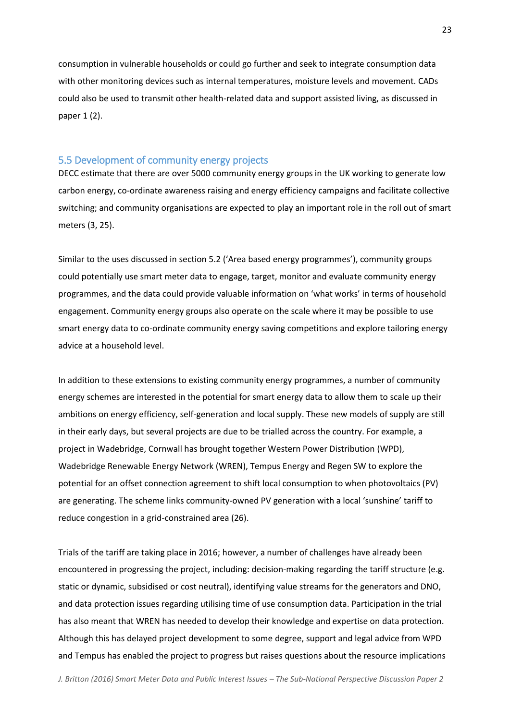consumption in vulnerable households or could go further and seek to integrate consumption data with other monitoring devices such as internal temperatures, moisture levels and movement. CADs could also be used to transmit other health-related data and support assisted living, as discussed in paper 1 (2).

#### <span id="page-22-0"></span>5.5 Development of community energy projects

DECC estimate that there are over 5000 community energy groups in the UK working to generate low carbon energy, co-ordinate awareness raising and energy efficiency campaigns and facilitate collective switching; and community organisations are expected to play an important role in the roll out of smart meters (3, 25).

Similar to the uses discussed in section 5.2 ('Area based energy programmes'), community groups could potentially use smart meter data to engage, target, monitor and evaluate community energy programmes, and the data could provide valuable information on 'what works' in terms of household engagement. Community energy groups also operate on the scale where it may be possible to use smart energy data to co-ordinate community energy saving competitions and explore tailoring energy advice at a household level.

In addition to these extensions to existing community energy programmes, a number of community energy schemes are interested in the potential for smart energy data to allow them to scale up their ambitions on energy efficiency, self-generation and local supply. These new models of supply are still in their early days, but several projects are due to be trialled across the country. For example, a project in Wadebridge, Cornwall has brought together Western Power Distribution (WPD), Wadebridge Renewable Energy Network (WREN), Tempus Energy and Regen SW to explore the potential for an offset connection agreement to shift local consumption to when photovoltaics (PV) are generating. The scheme links community-owned PV generation with a local 'sunshine' tariff to reduce congestion in a grid-constrained area (26).

Trials of the tariff are taking place in 2016; however, a number of challenges have already been encountered in progressing the project, including: decision-making regarding the tariff structure (e.g. static or dynamic, subsidised or cost neutral), identifying value streams for the generators and DNO, and data protection issues regarding utilising time of use consumption data. Participation in the trial has also meant that WREN has needed to develop their knowledge and expertise on data protection. Although this has delayed project development to some degree, support and legal advice from WPD and Tempus has enabled the project to progress but raises questions about the resource implications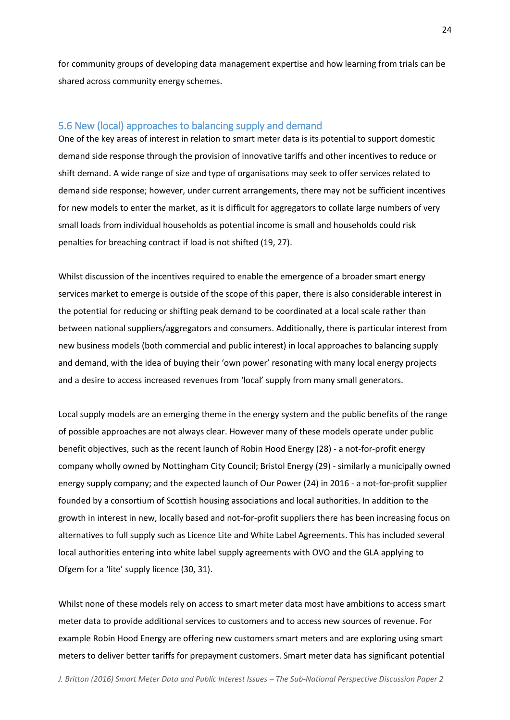for community groups of developing data management expertise and how learning from trials can be shared across community energy schemes.

### <span id="page-23-0"></span>5.6 New (local) approaches to balancing supply and demand

One of the key areas of interest in relation to smart meter data is its potential to support domestic demand side response through the provision of innovative tariffs and other incentives to reduce or shift demand. A wide range of size and type of organisations may seek to offer services related to demand side response; however, under current arrangements, there may not be sufficient incentives for new models to enter the market, as it is difficult for aggregators to collate large numbers of very small loads from individual households as potential income is small and households could risk penalties for breaching contract if load is not shifted (19, 27).

Whilst discussion of the incentives required to enable the emergence of a broader smart energy services market to emerge is outside of the scope of this paper, there is also considerable interest in the potential for reducing or shifting peak demand to be coordinated at a local scale rather than between national suppliers/aggregators and consumers. Additionally, there is particular interest from new business models (both commercial and public interest) in local approaches to balancing supply and demand, with the idea of buying their 'own power' resonating with many local energy projects and a desire to access increased revenues from 'local' supply from many small generators.

Local supply models are an emerging theme in the energy system and the public benefits of the range of possible approaches are not always clear. However many of these models operate under public benefit objectives, such as the recent launch of Robin Hood Energy (28) - a not-for-profit energy company wholly owned by Nottingham City Council; Bristol Energy (29) - similarly a municipally owned energy supply company; and the expected launch of Our Power (24) in 2016 - a not-for-profit supplier founded by a consortium of Scottish housing associations and local authorities. In addition to the growth in interest in new, locally based and not-for-profit suppliers there has been increasing focus on alternatives to full supply such as Licence Lite and White Label Agreements. This has included several local authorities entering into white label supply agreements with OVO and the GLA applying to Ofgem for a 'lite' supply licence (30, 31).

Whilst none of these models rely on access to smart meter data most have ambitions to access smart meter data to provide additional services to customers and to access new sources of revenue. For example Robin Hood Energy are offering new customers smart meters and are exploring using smart meters to deliver better tariffs for prepayment customers. Smart meter data has significant potential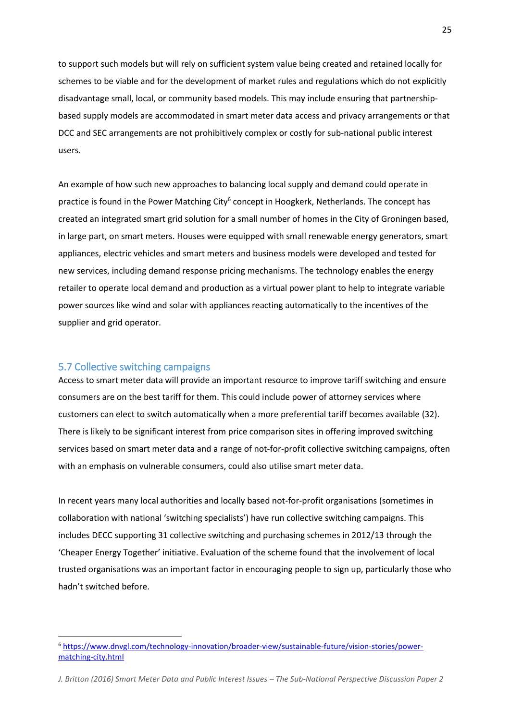to support such models but will rely on sufficient system value being created and retained locally for schemes to be viable and for the development of market rules and regulations which do not explicitly disadvantage small, local, or community based models. This may include ensuring that partnershipbased supply models are accommodated in smart meter data access and privacy arrangements or that DCC and SEC arrangements are not prohibitively complex or costly for sub-national public interest users.

An example of how such new approaches to balancing local supply and demand could operate in practice is found in the Power Matching City<sup>6</sup> concept in Hoogkerk, Netherlands. The concept has created an integrated smart grid solution for a small number of homes in the City of Groningen based, in large part, on smart meters. Houses were equipped with small renewable energy generators, smart appliances, electric vehicles and smart meters and business models were developed and tested for new services, including demand response pricing mechanisms. The technology enables the energy retailer to operate local demand and production as a virtual power plant to help to integrate variable power sources like wind and solar with appliances reacting automatically to the incentives of the supplier and grid operator.

#### <span id="page-24-0"></span>5.7 Collective switching campaigns

 $\overline{\phantom{a}}$ 

Access to smart meter data will provide an important resource to improve tariff switching and ensure consumers are on the best tariff for them. This could include power of attorney services where customers can elect to switch automatically when a more preferential tariff becomes available (32). There is likely to be significant interest from price comparison sites in offering improved switching services based on smart meter data and a range of not-for-profit collective switching campaigns, often with an emphasis on vulnerable consumers, could also utilise smart meter data.

In recent years many local authorities and locally based not-for-profit organisations (sometimes in collaboration with national 'switching specialists') have run collective switching campaigns. This includes DECC supporting 31 collective switching and purchasing schemes in 2012/13 through the 'Cheaper Energy Together' initiative. Evaluation of the scheme found that the involvement of local trusted organisations was an important factor in encouraging people to sign up, particularly those who hadn't switched before.

<sup>6</sup> [https://www.dnvgl.com/technology-innovation/broader-view/sustainable-future/vision-stories/power](https://www.dnvgl.com/technology-innovation/broader-view/sustainable-future/vision-stories/power-matching-city.html)[matching-city.html](https://www.dnvgl.com/technology-innovation/broader-view/sustainable-future/vision-stories/power-matching-city.html)

*J. Britton (2016) Smart Meter Data and Public Interest Issues - The Sub-National Perspective Discussion Paper 2*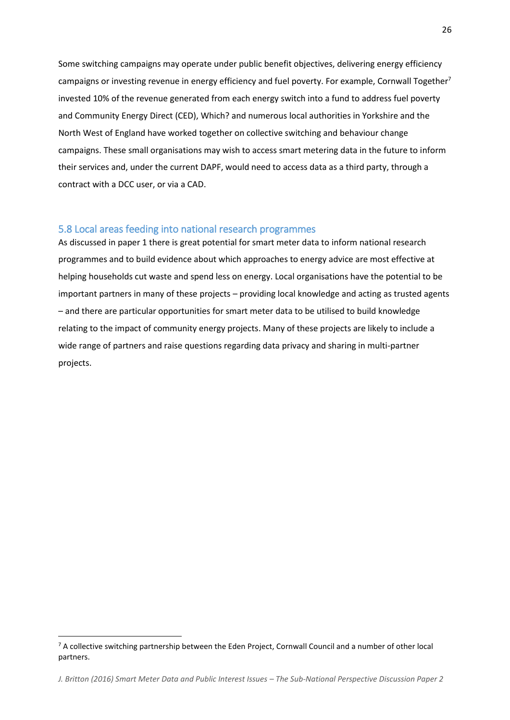Some switching campaigns may operate under public benefit objectives, delivering energy efficiency campaigns or investing revenue in energy efficiency and fuel poverty. For example, Cornwall Together<sup>7</sup> invested 10% of the revenue generated from each energy switch into a fund to address fuel poverty and Community Energy Direct (CED), Which? and numerous local authorities in Yorkshire and the North West of England have worked together on collective switching and behaviour change campaigns. These small organisations may wish to access smart metering data in the future to inform their services and, under the current DAPF, would need to access data as a third party, through a contract with a DCC user, or via a CAD.

### <span id="page-25-0"></span>5.8 Local areas feeding into national research programmes

As discussed in paper 1 there is great potential for smart meter data to inform national research programmes and to build evidence about which approaches to energy advice are most effective at helping households cut waste and spend less on energy. Local organisations have the potential to be important partners in many of these projects – providing local knowledge and acting as trusted agents – and there are particular opportunities for smart meter data to be utilised to build knowledge relating to the impact of community energy projects. Many of these projects are likely to include a wide range of partners and raise questions regarding data privacy and sharing in multi-partner projects.

 $\overline{\phantom{a}}$ 

 $7$  A collective switching partnership between the Eden Project, Cornwall Council and a number of other local partners.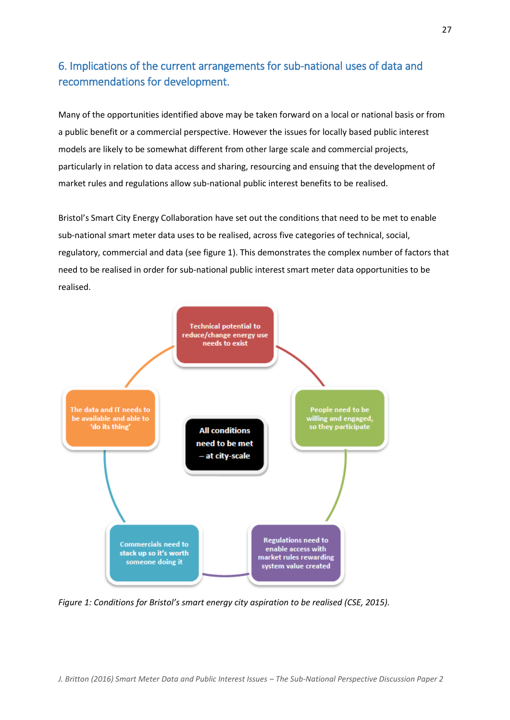# <span id="page-26-0"></span>6. Implications of the current arrangements for sub-national uses of data and recommendations for development.

Many of the opportunities identified above may be taken forward on a local or national basis or from a public benefit or a commercial perspective. However the issues for locally based public interest models are likely to be somewhat different from other large scale and commercial projects, particularly in relation to data access and sharing, resourcing and ensuing that the development of market rules and regulations allow sub-national public interest benefits to be realised.

Bristol's Smart City Energy Collaboration have set out the conditions that need to be met to enable sub-national smart meter data uses to be realised, across five categories of technical, social, regulatory, commercial and data (see figure 1). This demonstrates the complex number of factors that need to be realised in order for sub-national public interest smart meter data opportunities to be realised.



*Figure 1: Conditions for Bristol's smart energy city aspiration to be realised (CSE, 2015).*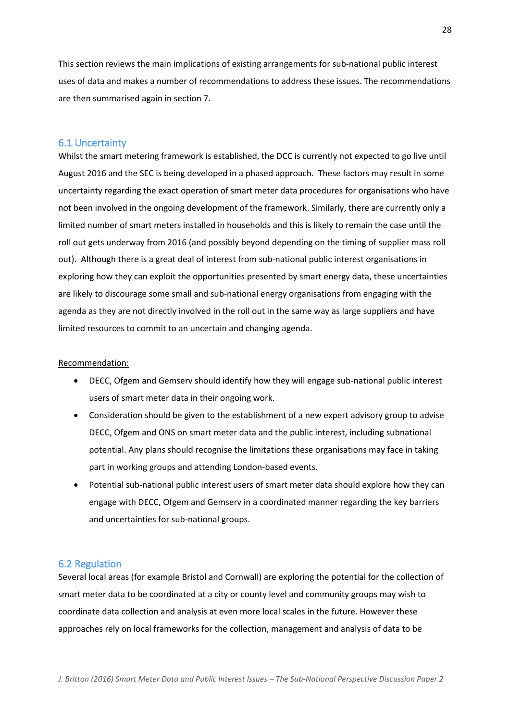This section reviews the main implications of existing arrangements for sub-national public interest uses of data and makes a number of recommendations to address these issues. The recommendations are then summarised again in section 7.

### <span id="page-27-0"></span>6.1 Uncertainty

Whilst the smart metering framework is established, the DCC is currently not expected to go live until August 2016 and the SEC is being developed in a phased approach. These factors may result in some uncertainty regarding the exact operation of smart meter data procedures for organisations who have not been involved in the ongoing development of the framework. Similarly, there are currently only a limited number of smart meters installed in households and this is likely to remain the case until the roll out gets underway from 2016 (and possibly beyond depending on the timing of supplier mass roll out). Although there is a great deal of interest from sub-national public interest organisations in exploring how they can exploit the opportunities presented by smart energy data, these uncertainties are likely to discourage some small and sub-national energy organisations from engaging with the agenda as they are not directly involved in the roll out in the same way as large suppliers and have limited resources to commit to an uncertain and changing agenda.

#### Recommendation:

- DECC, Ofgem and Gemserv should identify how they will engage sub-national public interest users of smart meter data in their ongoing work.
- Consideration should be given to the establishment of a new expert advisory group to advise DECC, Ofgem and ONS on smart meter data and the public interest, including subnational potential. Any plans should recognise the limitations these organisations may face in taking part in working groups and attending London-based events.
- Potential sub-national public interest users of smart meter data should explore how they can engage with DECC, Ofgem and Gemserv in a coordinated manner regarding the key barriers and uncertainties for sub-national groups.

#### <span id="page-27-1"></span>6.2 Regulation

Several local areas (for example Bristol and Cornwall) are exploring the potential for the collection of smart meter data to be coordinated at a city or county level and community groups may wish to coordinate data collection and analysis at even more local scales in the future. However these approaches rely on local frameworks for the collection, management and analysis of data to be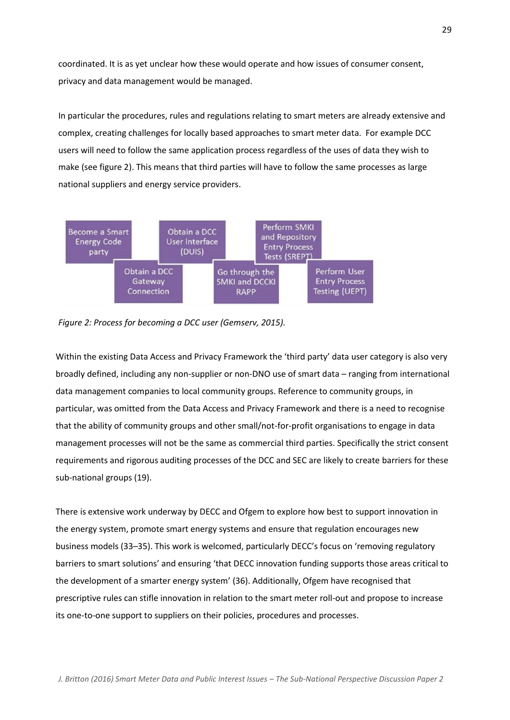coordinated. It is as yet unclear how these would operate and how issues of consumer consent, privacy and data management would be managed.

In particular the procedures, rules and regulations relating to smart meters are already extensive and complex, creating challenges for locally based approaches to smart meter data. For example DCC users will need to follow the same application process regardless of the uses of data they wish to make (see figure 2). This means that third parties will have to follow the same processes as large national suppliers and energy service providers.



*Figure 2: Process for becoming a DCC user (Gemserv, 2015).*

Within the existing Data Access and Privacy Framework the 'third party' data user category is also very broadly defined, including any non-supplier or non-DNO use of smart data – ranging from international data management companies to local community groups. Reference to community groups, in particular, was omitted from the Data Access and Privacy Framework and there is a need to recognise that the ability of community groups and other small/not-for-profit organisations to engage in data management processes will not be the same as commercial third parties. Specifically the strict consent requirements and rigorous auditing processes of the DCC and SEC are likely to create barriers for these sub-national groups (19).

There is extensive work underway by DECC and Ofgem to explore how best to support innovation in the energy system, promote smart energy systems and ensure that regulation encourages new business models (33–35). This work is welcomed, particularly DECC's focus on 'removing regulatory barriers to smart solutions' and ensuring 'that DECC innovation funding supports those areas critical to the development of a smarter energy system' (36). Additionally, Ofgem have recognised that prescriptive rules can stifle innovation in relation to the smart meter roll-out and propose to increase its one-to-one support to suppliers on their policies, procedures and processes.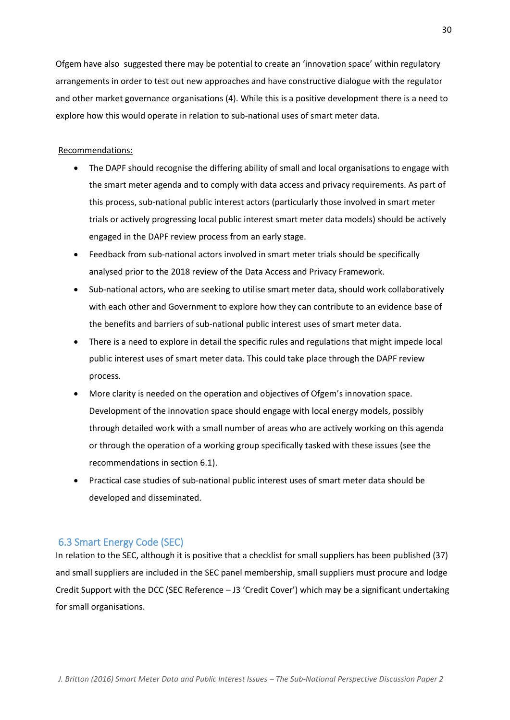Ofgem have also suggested there may be potential to create an 'innovation space' within regulatory arrangements in order to test out new approaches and have constructive dialogue with the regulator and other market governance organisations (4). While this is a positive development there is a need to explore how this would operate in relation to sub-national uses of smart meter data.

#### Recommendations:

- The DAPF should recognise the differing ability of small and local organisations to engage with the smart meter agenda and to comply with data access and privacy requirements. As part of this process, sub-national public interest actors (particularly those involved in smart meter trials or actively progressing local public interest smart meter data models) should be actively engaged in the DAPF review process from an early stage.
- Feedback from sub-national actors involved in smart meter trials should be specifically analysed prior to the 2018 review of the Data Access and Privacy Framework.
- Sub-national actors, who are seeking to utilise smart meter data, should work collaboratively with each other and Government to explore how they can contribute to an evidence base of the benefits and barriers of sub-national public interest uses of smart meter data.
- There is a need to explore in detail the specific rules and regulations that might impede local public interest uses of smart meter data. This could take place through the DAPF review process.
- More clarity is needed on the operation and objectives of Ofgem's innovation space. Development of the innovation space should engage with local energy models, possibly through detailed work with a small number of areas who are actively working on this agenda or through the operation of a working group specifically tasked with these issues (see the recommendations in section 6.1).
- Practical case studies of sub-national public interest uses of smart meter data should be developed and disseminated.

### <span id="page-29-0"></span>6.3 Smart Energy Code (SEC)

In relation to the SEC, although it is positive that a checklist for small suppliers has been published (37) and small suppliers are included in the SEC panel membership, small suppliers must procure and lodge Credit Support with the DCC (SEC Reference – J3 'Credit Cover') which may be a significant undertaking for small organisations.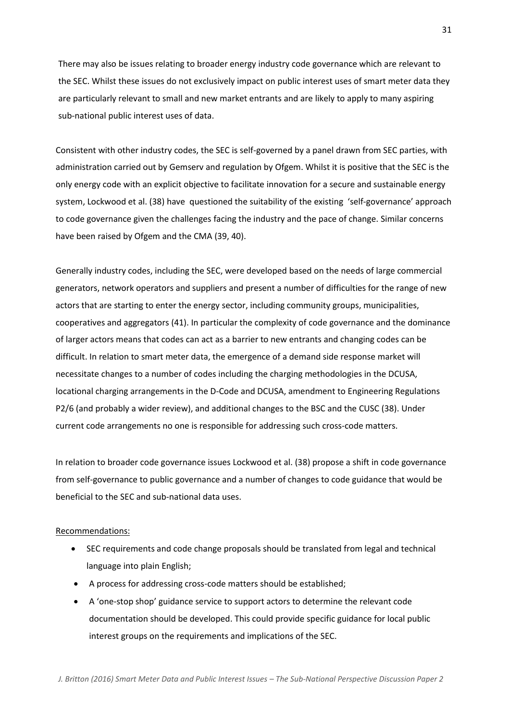There may also be issues relating to broader energy industry code governance which are relevant to the SEC. Whilst these issues do not exclusively impact on public interest uses of smart meter data they are particularly relevant to small and new market entrants and are likely to apply to many aspiring sub-national public interest uses of data.

Consistent with other industry codes, the SEC is self-governed by a panel drawn from SEC parties, with administration carried out by Gemserv and regulation by Ofgem. Whilst it is positive that the SEC is the only energy code with an explicit objective to facilitate innovation for a secure and sustainable energy system, Lockwood et al. (38) have questioned the suitability of the existing 'self-governance' approach to code governance given the challenges facing the industry and the pace of change. Similar concerns have been raised by Ofgem and the CMA (39, 40).

Generally industry codes, including the SEC, were developed based on the needs of large commercial generators, network operators and suppliers and present a number of difficulties for the range of new actors that are starting to enter the energy sector, including community groups, municipalities, cooperatives and aggregators (41). In particular the complexity of code governance and the dominance of larger actors means that codes can act as a barrier to new entrants and changing codes can be difficult. In relation to smart meter data, the emergence of a demand side response market will necessitate changes to a number of codes including the charging methodologies in the DCUSA, locational charging arrangements in the D-Code and DCUSA, amendment to Engineering Regulations P2/6 (and probably a wider review), and additional changes to the BSC and the CUSC (38). Under current code arrangements no one is responsible for addressing such cross-code matters.

In relation to broader code governance issues Lockwood et al. (38) propose a shift in code governance from self-governance to public governance and a number of changes to code guidance that would be beneficial to the SEC and sub-national data uses.

#### Recommendations:

- SEC requirements and code change proposals should be translated from legal and technical language into plain English;
- A process for addressing cross-code matters should be established;
- A 'one-stop shop' guidance service to support actors to determine the relevant code documentation should be developed. This could provide specific guidance for local public interest groups on the requirements and implications of the SEC.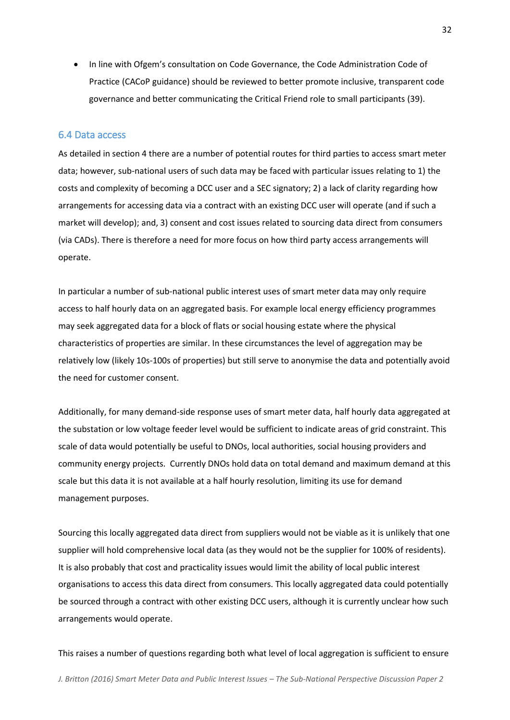In line with Ofgem's consultation on Code Governance, the Code Administration Code of Practice (CACoP guidance) should be reviewed to better promote inclusive, transparent code governance and better communicating the Critical Friend role to small participants (39).

#### <span id="page-31-0"></span>6.4 Data access

As detailed in section 4 there are a number of potential routes for third parties to access smart meter data; however, sub-national users of such data may be faced with particular issues relating to 1) the costs and complexity of becoming a DCC user and a SEC signatory; 2) a lack of clarity regarding how arrangements for accessing data via a contract with an existing DCC user will operate (and if such a market will develop); and, 3) consent and cost issues related to sourcing data direct from consumers (via CADs). There is therefore a need for more focus on how third party access arrangements will operate.

In particular a number of sub-national public interest uses of smart meter data may only require access to half hourly data on an aggregated basis. For example local energy efficiency programmes may seek aggregated data for a block of flats or social housing estate where the physical characteristics of properties are similar. In these circumstances the level of aggregation may be relatively low (likely 10s-100s of properties) but still serve to anonymise the data and potentially avoid the need for customer consent.

Additionally, for many demand-side response uses of smart meter data, half hourly data aggregated at the substation or low voltage feeder level would be sufficient to indicate areas of grid constraint. This scale of data would potentially be useful to DNOs, local authorities, social housing providers and community energy projects. Currently DNOs hold data on total demand and maximum demand at this scale but this data it is not available at a half hourly resolution, limiting its use for demand management purposes.

Sourcing this locally aggregated data direct from suppliers would not be viable as it is unlikely that one supplier will hold comprehensive local data (as they would not be the supplier for 100% of residents). It is also probably that cost and practicality issues would limit the ability of local public interest organisations to access this data direct from consumers. This locally aggregated data could potentially be sourced through a contract with other existing DCC users, although it is currently unclear how such arrangements would operate.

This raises a number of questions regarding both what level of local aggregation is sufficient to ensure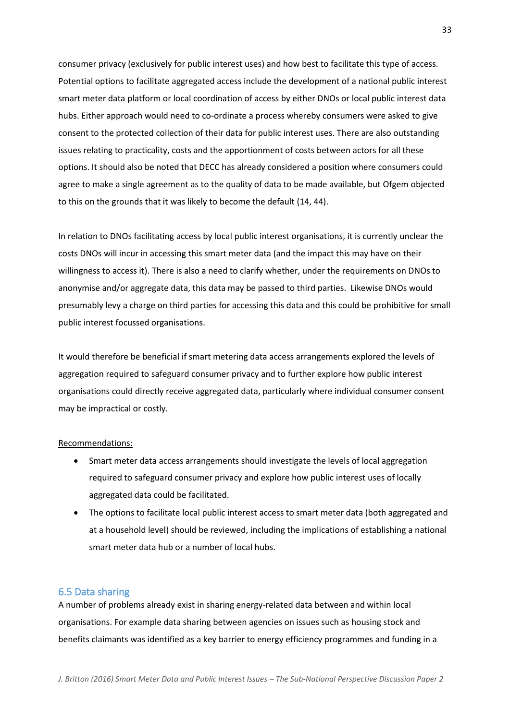consumer privacy (exclusively for public interest uses) and how best to facilitate this type of access. Potential options to facilitate aggregated access include the development of a national public interest smart meter data platform or local coordination of access by either DNOs or local public interest data hubs. Either approach would need to co-ordinate a process whereby consumers were asked to give consent to the protected collection of their data for public interest uses. There are also outstanding issues relating to practicality, costs and the apportionment of costs between actors for all these options. It should also be noted that DECC has already considered a position where consumers could agree to make a single agreement as to the quality of data to be made available, but Ofgem objected to this on the grounds that it was likely to become the default (14, 44).

In relation to DNOs facilitating access by local public interest organisations, it is currently unclear the costs DNOs will incur in accessing this smart meter data (and the impact this may have on their willingness to access it). There is also a need to clarify whether, under the requirements on DNOs to anonymise and/or aggregate data, this data may be passed to third parties. Likewise DNOs would presumably levy a charge on third parties for accessing this data and this could be prohibitive for small public interest focussed organisations.

It would therefore be beneficial if smart metering data access arrangements explored the levels of aggregation required to safeguard consumer privacy and to further explore how public interest organisations could directly receive aggregated data, particularly where individual consumer consent may be impractical or costly.

#### Recommendations:

- Smart meter data access arrangements should investigate the levels of local aggregation required to safeguard consumer privacy and explore how public interest uses of locally aggregated data could be facilitated.
- The options to facilitate local public interest access to smart meter data (both aggregated and at a household level) should be reviewed, including the implications of establishing a national smart meter data hub or a number of local hubs.

### <span id="page-32-0"></span>6.5 Data sharing

A number of problems already exist in sharing energy-related data between and within local organisations. For example data sharing between agencies on issues such as housing stock and benefits claimants was identified as a key barrier to energy efficiency programmes and funding in a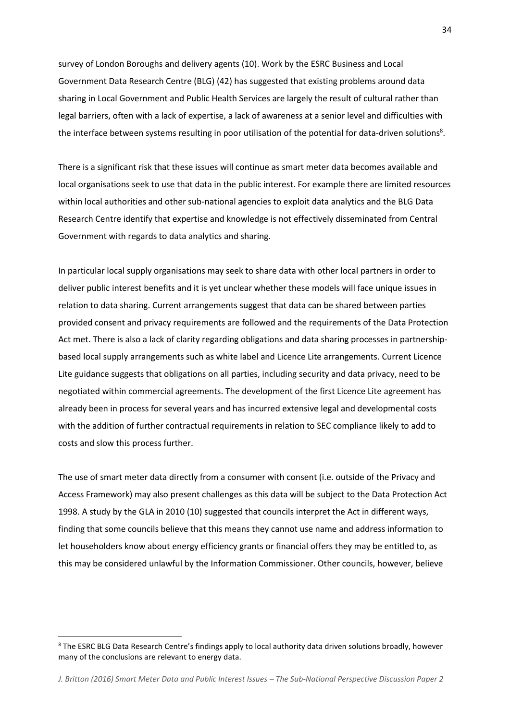survey of London Boroughs and delivery agents (10). Work by the ESRC Business and Local Government Data Research Centre (BLG) (42) has suggested that existing problems around data sharing in Local Government and Public Health Services are largely the result of cultural rather than legal barriers, often with a lack of expertise, a lack of awareness at a senior level and difficulties with the interface between systems resulting in poor utilisation of the potential for data-driven solutions<sup>8</sup>.

There is a significant risk that these issues will continue as smart meter data becomes available and local organisations seek to use that data in the public interest. For example there are limited resources within local authorities and other sub-national agencies to exploit data analytics and the BLG Data Research Centre identify that expertise and knowledge is not effectively disseminated from Central Government with regards to data analytics and sharing.

In particular local supply organisations may seek to share data with other local partners in order to deliver public interest benefits and it is yet unclear whether these models will face unique issues in relation to data sharing. Current arrangements suggest that data can be shared between parties provided consent and privacy requirements are followed and the requirements of the Data Protection Act met. There is also a lack of clarity regarding obligations and data sharing processes in partnershipbased local supply arrangements such as white label and Licence Lite arrangements. Current Licence Lite guidance suggests that obligations on all parties, including security and data privacy, need to be negotiated within commercial agreements. The development of the first Licence Lite agreement has already been in process for several years and has incurred extensive legal and developmental costs with the addition of further contractual requirements in relation to SEC compliance likely to add to costs and slow this process further.

The use of smart meter data directly from a consumer with consent (i.e. outside of the Privacy and Access Framework) may also present challenges as this data will be subject to the Data Protection Act 1998. A study by the GLA in 2010 (10) suggested that councils interpret the Act in different ways, finding that some councils believe that this means they cannot use name and address information to let householders know about energy efficiency grants or financial offers they may be entitled to, as this may be considered unlawful by the Information Commissioner. Other councils, however, believe

 $\overline{\phantom{a}}$ 

<sup>&</sup>lt;sup>8</sup> The ESRC BLG Data Research Centre's findings apply to local authority data driven solutions broadly, however many of the conclusions are relevant to energy data.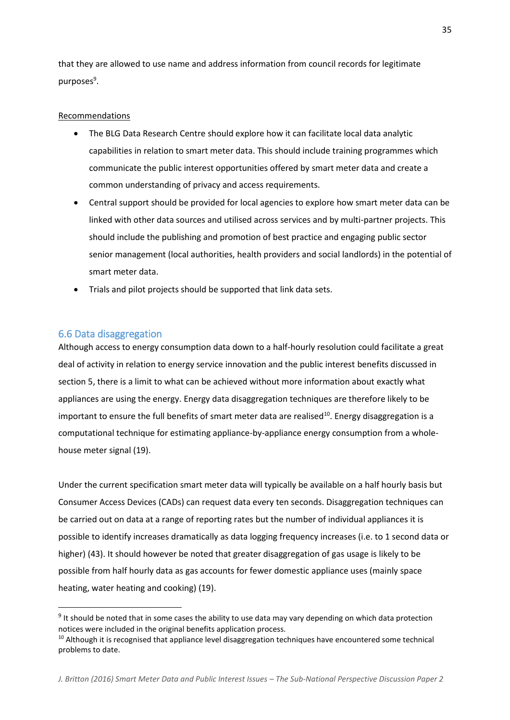that they are allowed to use name and address information from council records for legitimate purposes<sup>9</sup>.

### Recommendations

- The BLG Data Research Centre should explore how it can facilitate local data analytic capabilities in relation to smart meter data. This should include training programmes which communicate the public interest opportunities offered by smart meter data and create a common understanding of privacy and access requirements.
- Central support should be provided for local agencies to explore how smart meter data can be linked with other data sources and utilised across services and by multi-partner projects. This should include the publishing and promotion of best practice and engaging public sector senior management (local authorities, health providers and social landlords) in the potential of smart meter data.
- Trials and pilot projects should be supported that link data sets.

### <span id="page-34-0"></span>6.6 Data disaggregation

 $\overline{\phantom{a}}$ 

Although access to energy consumption data down to a half-hourly resolution could facilitate a great deal of activity in relation to energy service innovation and the public interest benefits discussed in section 5, there is a limit to what can be achieved without more information about exactly what appliances are using the energy. Energy data disaggregation techniques are therefore likely to be important to ensure the full benefits of smart meter data are realised<sup>10</sup>. Energy disaggregation is a computational technique for estimating appliance-by-appliance energy consumption from a wholehouse meter signal (19).

Under the current specification smart meter data will typically be available on a half hourly basis but Consumer Access Devices (CADs) can request data every ten seconds. Disaggregation techniques can be carried out on data at a range of reporting rates but the number of individual appliances it is possible to identify increases dramatically as data logging frequency increases (i.e. to 1 second data or higher) (43). It should however be noted that greater disaggregation of gas usage is likely to be possible from half hourly data as gas accounts for fewer domestic appliance uses (mainly space heating, water heating and cooking) (19).

<sup>&</sup>lt;sup>9</sup> It should be noted that in some cases the ability to use data may vary depending on which data protection notices were included in the original benefits application process.

 $10$  Although it is recognised that appliance level disaggregation techniques have encountered some technical problems to date.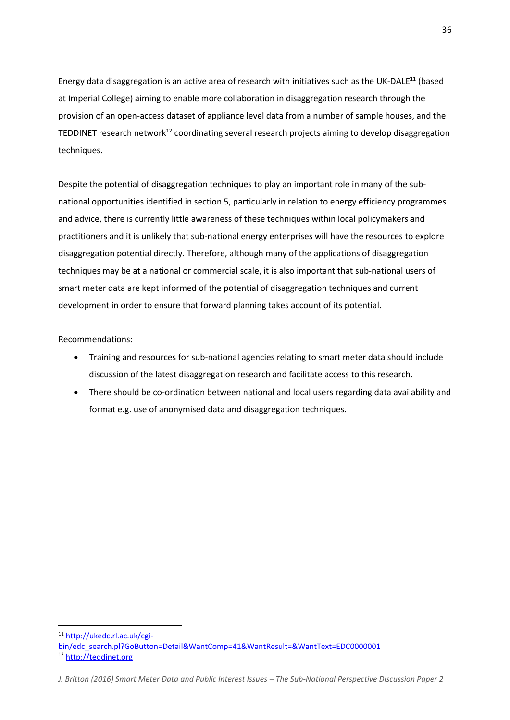Energy data disaggregation is an active area of research with initiatives such as the UK-DALE<sup>11</sup> (based at Imperial College) aiming to enable more collaboration in disaggregation research through the provision of an open-access dataset of appliance level data from a number of sample houses, and the TEDDINET research network<sup>12</sup> coordinating several research projects aiming to develop disaggregation techniques.

Despite the potential of disaggregation techniques to play an important role in many of the subnational opportunities identified in section 5, particularly in relation to energy efficiency programmes and advice, there is currently little awareness of these techniques within local policymakers and practitioners and it is unlikely that sub-national energy enterprises will have the resources to explore disaggregation potential directly. Therefore, although many of the applications of disaggregation techniques may be at a national or commercial scale, it is also important that sub-national users of smart meter data are kept informed of the potential of disaggregation techniques and current development in order to ensure that forward planning takes account of its potential.

#### Recommendations:

- Training and resources for sub-national agencies relating to smart meter data should include discussion of the latest disaggregation research and facilitate access to this research.
- There should be co-ordination between national and local users regarding data availability and format e.g. use of anonymised data and disaggregation techniques.

<sup>11</sup> [http://ukedc.rl.ac.uk/cgi-](http://ukedc.rl.ac.uk/cgi-bin/edc_search.pl?GoButton=Detail&WantComp=41&WantResult=&WantText=EDC0000001)

 $\overline{a}$ 

[bin/edc\\_search.pl?GoButton=Detail&WantComp=41&WantResult=&WantText=EDC0000001](http://ukedc.rl.ac.uk/cgi-bin/edc_search.pl?GoButton=Detail&WantComp=41&WantResult=&WantText=EDC0000001) <sup>12</sup> [http://teddinet.org](http://teddinet.org/)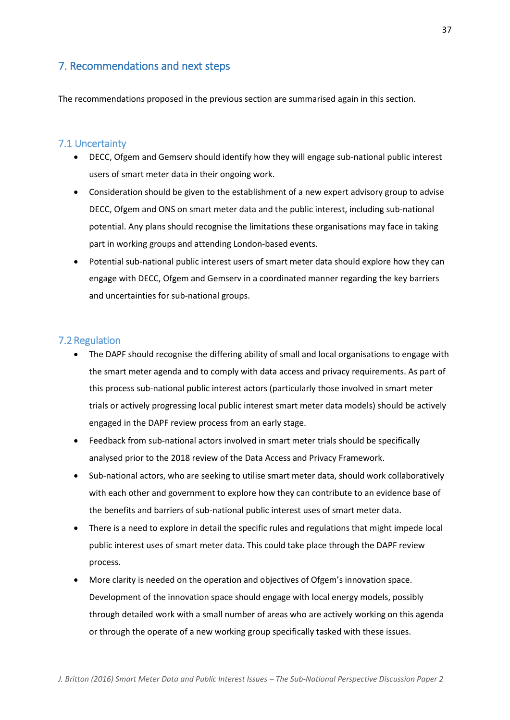## <span id="page-36-0"></span>7. Recommendations and next steps

The recommendations proposed in the previous section are summarised again in this section.

### <span id="page-36-1"></span>7.1 Uncertainty

- DECC, Ofgem and Gemserv should identify how they will engage sub-national public interest users of smart meter data in their ongoing work.
- Consideration should be given to the establishment of a new expert advisory group to advise DECC, Ofgem and ONS on smart meter data and the public interest, including sub-national potential. Any plans should recognise the limitations these organisations may face in taking part in working groups and attending London-based events.
- Potential sub-national public interest users of smart meter data should explore how they can engage with DECC, Ofgem and Gemserv in a coordinated manner regarding the key barriers and uncertainties for sub-national groups.

### <span id="page-36-2"></span>7.2 Regulation

- The DAPF should recognise the differing ability of small and local organisations to engage with the smart meter agenda and to comply with data access and privacy requirements. As part of this process sub-national public interest actors (particularly those involved in smart meter trials or actively progressing local public interest smart meter data models) should be actively engaged in the DAPF review process from an early stage.
- Feedback from sub-national actors involved in smart meter trials should be specifically analysed prior to the 2018 review of the Data Access and Privacy Framework.
- Sub-national actors, who are seeking to utilise smart meter data, should work collaboratively with each other and government to explore how they can contribute to an evidence base of the benefits and barriers of sub-national public interest uses of smart meter data.
- There is a need to explore in detail the specific rules and regulations that might impede local public interest uses of smart meter data. This could take place through the DAPF review process.
- More clarity is needed on the operation and objectives of Ofgem's innovation space. Development of the innovation space should engage with local energy models, possibly through detailed work with a small number of areas who are actively working on this agenda or through the operate of a new working group specifically tasked with these issues.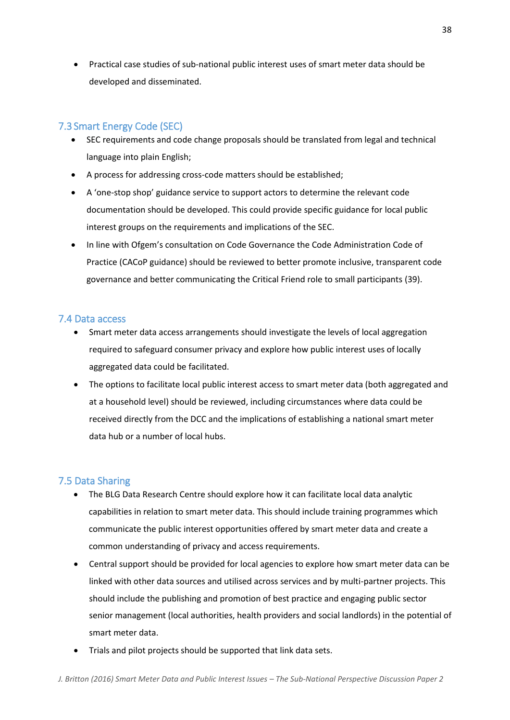Practical case studies of sub-national public interest uses of smart meter data should be developed and disseminated.

## <span id="page-37-0"></span>7.3 Smart Energy Code (SEC)

- SEC requirements and code change proposals should be translated from legal and technical language into plain English;
- A process for addressing cross-code matters should be established;
- A 'one-stop shop' guidance service to support actors to determine the relevant code documentation should be developed. This could provide specific guidance for local public interest groups on the requirements and implications of the SEC.
- In line with Ofgem's consultation on Code Governance the Code Administration Code of Practice (CACoP guidance) should be reviewed to better promote inclusive, transparent code governance and better communicating the Critical Friend role to small participants (39).

### <span id="page-37-1"></span>7.4 Data access

- Smart meter data access arrangements should investigate the levels of local aggregation required to safeguard consumer privacy and explore how public interest uses of locally aggregated data could be facilitated.
- The options to facilitate local public interest access to smart meter data (both aggregated and at a household level) should be reviewed, including circumstances where data could be received directly from the DCC and the implications of establishing a national smart meter data hub or a number of local hubs.

## <span id="page-37-2"></span>7.5 Data Sharing

- The BLG Data Research Centre should explore how it can facilitate local data analytic capabilities in relation to smart meter data. This should include training programmes which communicate the public interest opportunities offered by smart meter data and create a common understanding of privacy and access requirements.
- Central support should be provided for local agencies to explore how smart meter data can be linked with other data sources and utilised across services and by multi-partner projects. This should include the publishing and promotion of best practice and engaging public sector senior management (local authorities, health providers and social landlords) in the potential of smart meter data.
- Trials and pilot projects should be supported that link data sets.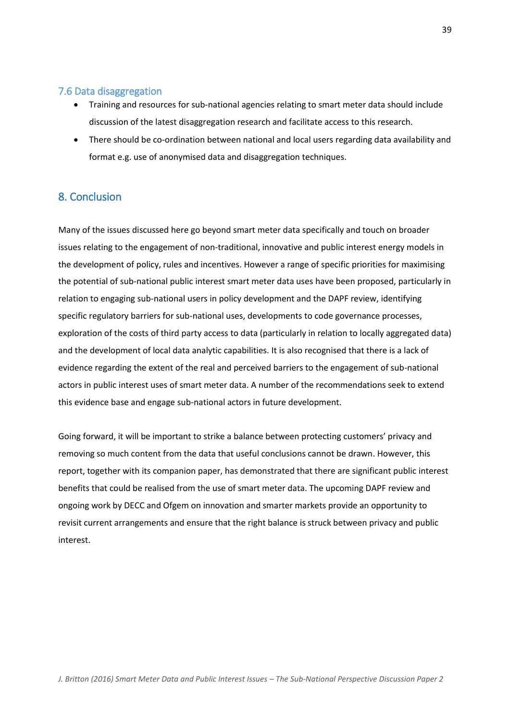### <span id="page-38-0"></span>7.6 Data disaggregation

- Training and resources for sub-national agencies relating to smart meter data should include discussion of the latest disaggregation research and facilitate access to this research.
- There should be co-ordination between national and local users regarding data availability and format e.g. use of anonymised data and disaggregation techniques.

## <span id="page-38-1"></span>8. Conclusion

Many of the issues discussed here go beyond smart meter data specifically and touch on broader issues relating to the engagement of non-traditional, innovative and public interest energy models in the development of policy, rules and incentives. However a range of specific priorities for maximising the potential of sub-national public interest smart meter data uses have been proposed, particularly in relation to engaging sub-national users in policy development and the DAPF review, identifying specific regulatory barriers for sub-national uses, developments to code governance processes, exploration of the costs of third party access to data (particularly in relation to locally aggregated data) and the development of local data analytic capabilities. It is also recognised that there is a lack of evidence regarding the extent of the real and perceived barriers to the engagement of sub-national actors in public interest uses of smart meter data. A number of the recommendations seek to extend this evidence base and engage sub-national actors in future development.

Going forward, it will be important to strike a balance between protecting customers' privacy and removing so much content from the data that useful conclusions cannot be drawn. However, this report, together with its companion paper, has demonstrated that there are significant public interest benefits that could be realised from the use of smart meter data. The upcoming DAPF review and ongoing work by DECC and Ofgem on innovation and smarter markets provide an opportunity to revisit current arrangements and ensure that the right balance is struck between privacy and public interest.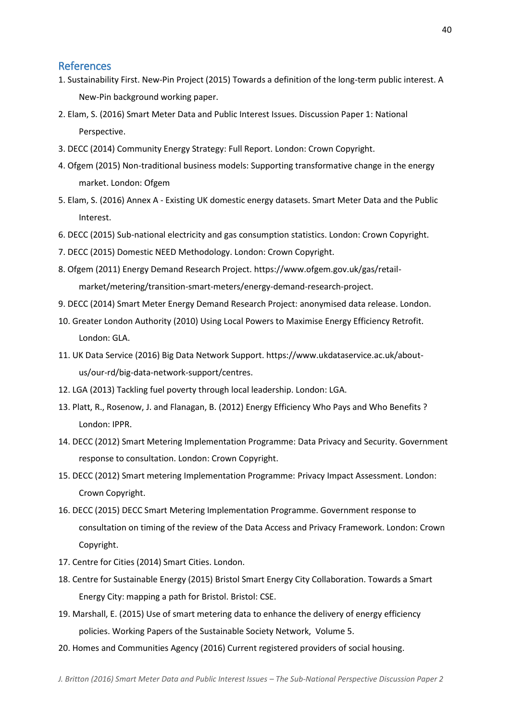### <span id="page-39-0"></span>References

- 1. Sustainability First. New-Pin Project (2015) Towards a definition of the long-term public interest. A New-Pin background working paper.
- 2. Elam, S. (2016) Smart Meter Data and Public Interest Issues. Discussion Paper 1: National Perspective.
- 3. DECC (2014) Community Energy Strategy: Full Report. London: Crown Copyright.
- 4. Ofgem (2015) Non-traditional business models: Supporting transformative change in the energy market. London: Ofgem
- 5. Elam, S. (2016) Annex A Existing UK domestic energy datasets. Smart Meter Data and the Public Interest.
- 6. DECC (2015) Sub-national electricity and gas consumption statistics. London: Crown Copyright.
- 7. DECC (2015) Domestic NEED Methodology. London: Crown Copyright.
- 8. Ofgem (2011) Energy Demand Research Project. https://www.ofgem.gov.uk/gas/retailmarket/metering/transition-smart-meters/energy-demand-research-project.
- 9. DECC (2014) Smart Meter Energy Demand Research Project: anonymised data release. London.
- 10. Greater London Authority (2010) Using Local Powers to Maximise Energy Efficiency Retrofit. London: GLA.
- 11. UK Data Service (2016) Big Data Network Support. https://www.ukdataservice.ac.uk/aboutus/our-rd/big-data-network-support/centres.
- 12. LGA (2013) Tackling fuel poverty through local leadership. London: LGA.
- 13. Platt, R., Rosenow, J. and Flanagan, B. (2012) Energy Efficiency Who Pays and Who Benefits ? London: IPPR.
- 14. DECC (2012) Smart Metering Implementation Programme: Data Privacy and Security. Government response to consultation. London: Crown Copyright.
- 15. DECC (2012) Smart metering Implementation Programme: Privacy Impact Assessment. London: Crown Copyright.
- 16. DECC (2015) DECC Smart Metering Implementation Programme. Government response to consultation on timing of the review of the Data Access and Privacy Framework. London: Crown Copyright.
- 17. Centre for Cities (2014) Smart Cities. London.
- 18. Centre for Sustainable Energy (2015) Bristol Smart Energy City Collaboration. Towards a Smart Energy City: mapping a path for Bristol. Bristol: CSE.
- 19. Marshall, E. (2015) Use of smart metering data to enhance the delivery of energy efficiency policies. Working Papers of the Sustainable Society Network, Volume 5.
- 20. Homes and Communities Agency (2016) Current registered providers of social housing.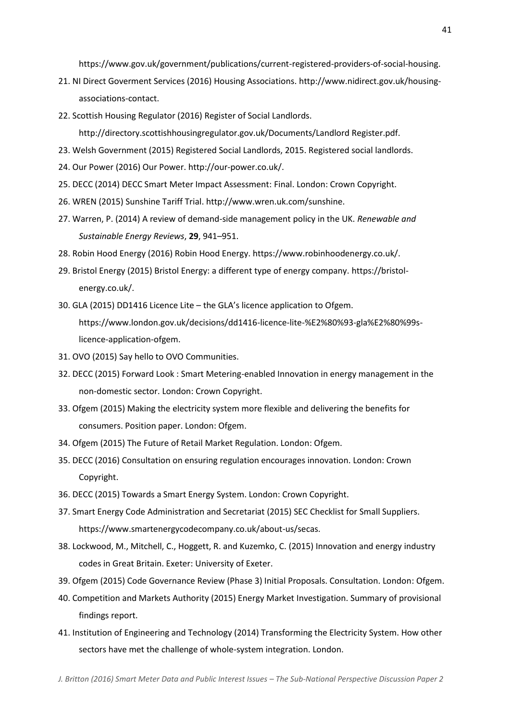https://www.gov.uk/government/publications/current-registered-providers-of-social-housing.

- 21. NI Direct Goverment Services (2016) Housing Associations. http://www.nidirect.gov.uk/housingassociations-contact.
- 22. Scottish Housing Regulator (2016) Register of Social Landlords.

http://directory.scottishhousingregulator.gov.uk/Documents/Landlord Register.pdf.

- 23. Welsh Government (2015) Registered Social Landlords, 2015. Registered social landlords.
- 24. Our Power (2016) Our Power. http://our-power.co.uk/.
- 25. DECC (2014) DECC Smart Meter Impact Assessment: Final. London: Crown Copyright.
- 26. WREN (2015) Sunshine Tariff Trial. http://www.wren.uk.com/sunshine.
- 27. Warren, P. (2014) A review of demand-side management policy in the UK. *Renewable and Sustainable Energy Reviews*, **29**, 941–951.
- 28. Robin Hood Energy (2016) Robin Hood Energy. https://www.robinhoodenergy.co.uk/.
- 29. Bristol Energy (2015) Bristol Energy: a different type of energy company. https://bristolenergy.co.uk/.
- 30. GLA (2015) DD1416 Licence Lite the GLA's licence application to Ofgem. https://www.london.gov.uk/decisions/dd1416-licence-lite-%E2%80%93-gla%E2%80%99slicence-application-ofgem.
- 31. OVO (2015) Say hello to OVO Communities.
- 32. DECC (2015) Forward Look : Smart Metering-enabled Innovation in energy management in the non-domestic sector. London: Crown Copyright.
- 33. Ofgem (2015) Making the electricity system more flexible and delivering the benefits for consumers. Position paper. London: Ofgem.
- 34. Ofgem (2015) The Future of Retail Market Regulation. London: Ofgem.
- 35. DECC (2016) Consultation on ensuring regulation encourages innovation. London: Crown Copyright.
- 36. DECC (2015) Towards a Smart Energy System. London: Crown Copyright.
- 37. Smart Energy Code Administration and Secretariat (2015) SEC Checklist for Small Suppliers. https://www.smartenergycodecompany.co.uk/about-us/secas.
- 38. Lockwood, M., Mitchell, C., Hoggett, R. and Kuzemko, C. (2015) Innovation and energy industry codes in Great Britain. Exeter: University of Exeter.
- 39. Ofgem (2015) Code Governance Review (Phase 3) Initial Proposals. Consultation. London: Ofgem.
- 40. Competition and Markets Authority (2015) Energy Market Investigation. Summary of provisional findings report.
- 41. Institution of Engineering and Technology (2014) Transforming the Electricity System. How other sectors have met the challenge of whole-system integration. London.